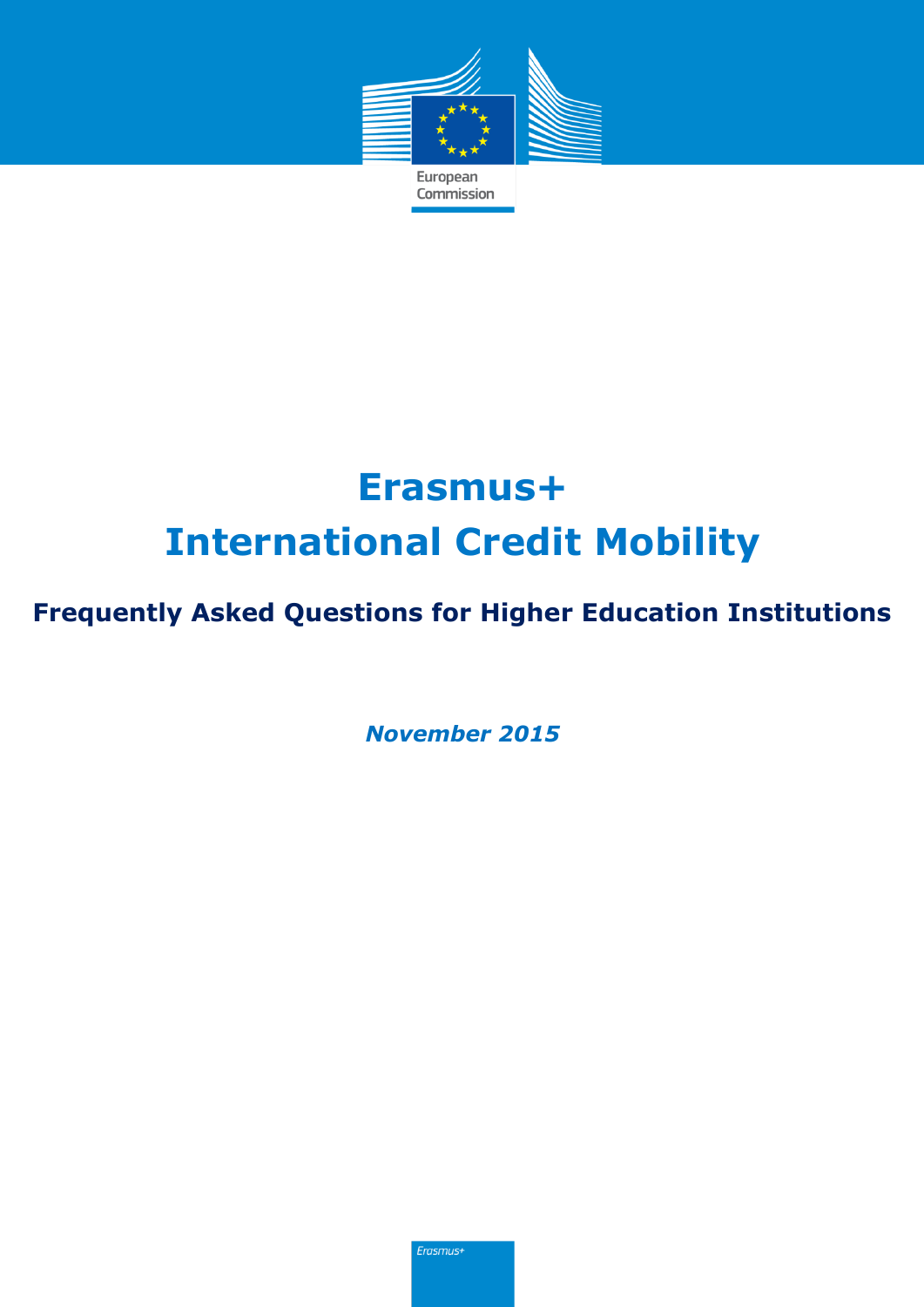

# **Erasmus+ International Credit Mobility**

### **Frequently Asked Questions for Higher Education Institutions**

*November 2015*

Erasmus+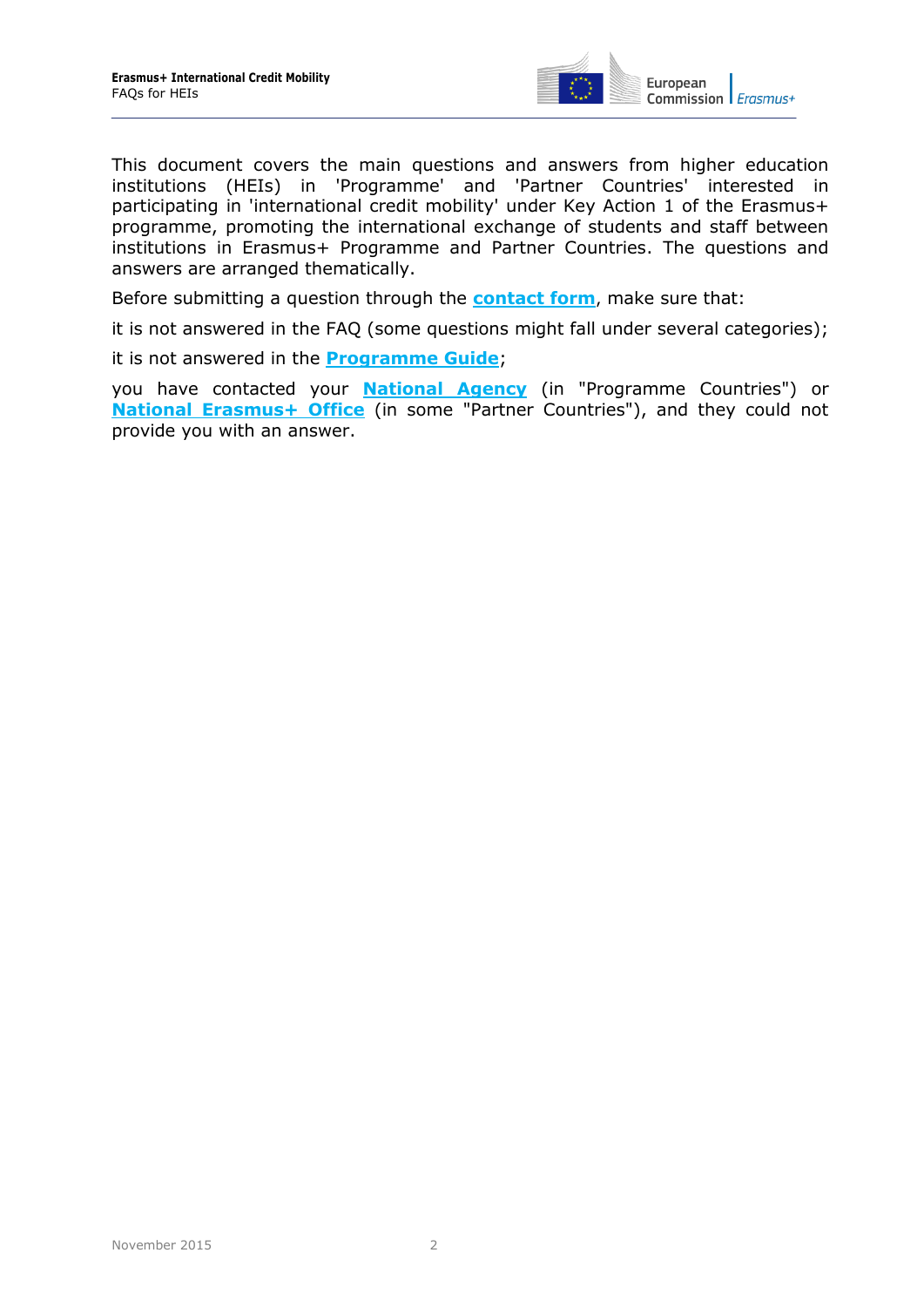

This document covers the main questions and answers from higher education institutions (HEIs) in 'Programme' and 'Partner Countries' interested in participating in 'international credit mobility' under Key Action 1 of the Erasmus+ programme, promoting the international exchange of students and staff between institutions in Erasmus+ Programme and Partner Countries. The questions and answers are arranged thematically.

Before submitting a question through the **[contact form](http://ec.europa.eu/education/contact/index_en.htm)**, make sure that:

it is not answered in the FAQ (some questions might fall under several categories);

it is not answered in the **[Programme Guide](http://ec.europa.eu/programmes/erasmus-plus/discover/guide/index_en.htm)**;

you have contacted your **[National Agency](http://ec.europa.eu/programmes/erasmus-plus/tools/national-agencies/index_en.htm)** (in "Programme Countries") or **[National Erasmus+ Office](https://eacea.ec.europa.eu/erasmus-plus/contacts/national-erasmus-plus-offices_en)** (in some "Partner Countries"), and they could not provide you with an answer.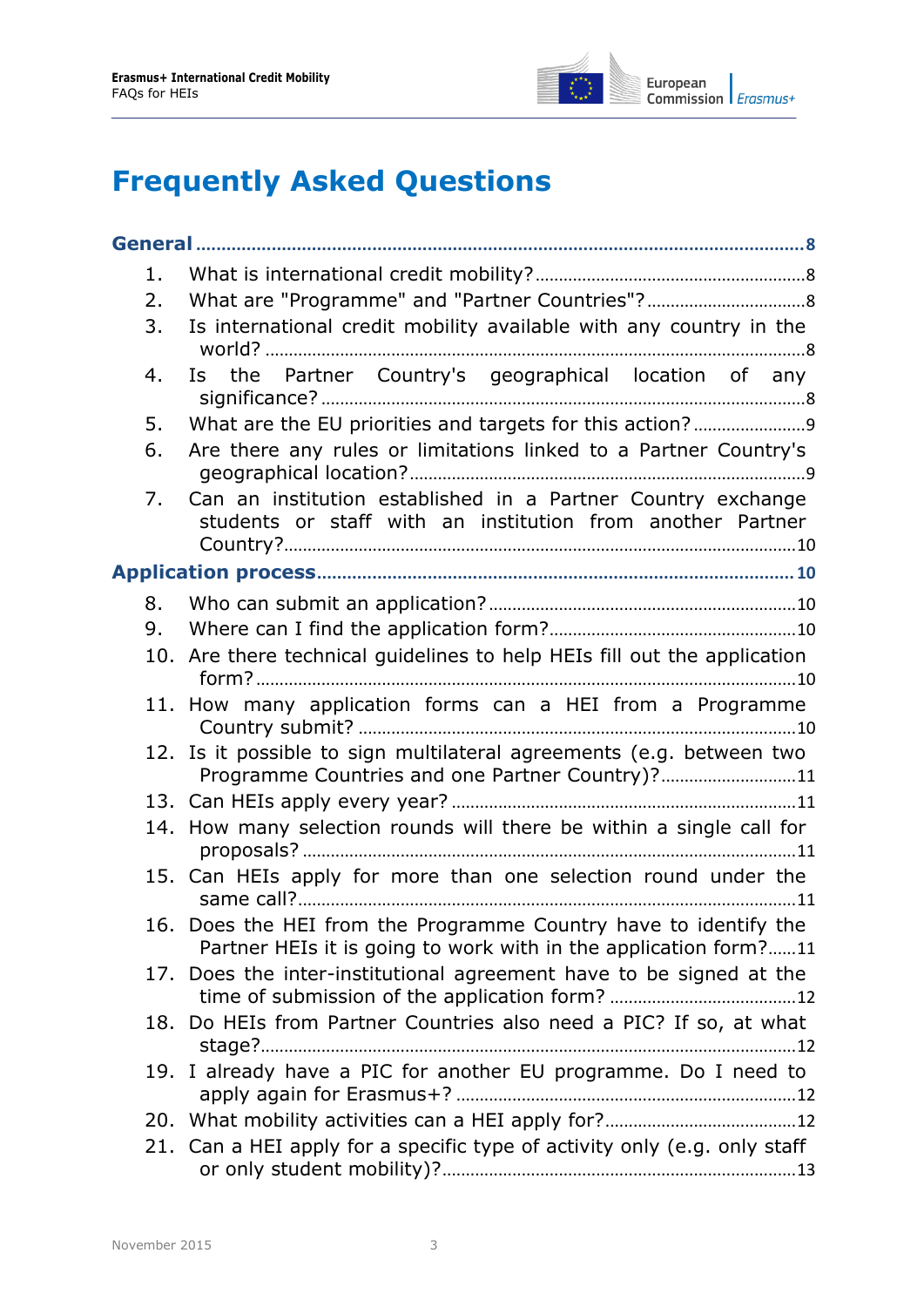

# **Frequently Asked Questions**

| 1. |                                                                                                                                      |  |  |
|----|--------------------------------------------------------------------------------------------------------------------------------------|--|--|
| 2. |                                                                                                                                      |  |  |
| 3. | Is international credit mobility available with any country in the                                                                   |  |  |
| 4. | Is the Partner Country's geographical location of any                                                                                |  |  |
| 5. |                                                                                                                                      |  |  |
| 6. | Are there any rules or limitations linked to a Partner Country's                                                                     |  |  |
| 7. | Can an institution established in a Partner Country exchange<br>students or staff with an institution from another Partner           |  |  |
|    |                                                                                                                                      |  |  |
| 8. |                                                                                                                                      |  |  |
| 9. |                                                                                                                                      |  |  |
|    | 10. Are there technical guidelines to help HEIs fill out the application                                                             |  |  |
|    | 11. How many application forms can a HEI from a Programme                                                                            |  |  |
|    | 12. Is it possible to sign multilateral agreements (e.g. between two<br>Programme Countries and one Partner Country)?11              |  |  |
|    |                                                                                                                                      |  |  |
|    | 14. How many selection rounds will there be within a single call for                                                                 |  |  |
|    | 15. Can HEIs apply for more than one selection round under the                                                                       |  |  |
|    | 16. Does the HEI from the Programme Country have to identify the<br>Partner HEIs it is going to work with in the application form?11 |  |  |
|    | 17. Does the inter-institutional agreement have to be signed at the                                                                  |  |  |
|    | 18. Do HEIs from Partner Countries also need a PIC? If so, at what                                                                   |  |  |
|    | 19. I already have a PIC for another EU programme. Do I need to                                                                      |  |  |
|    |                                                                                                                                      |  |  |
|    | 21. Can a HEI apply for a specific type of activity only (e.g. only staff                                                            |  |  |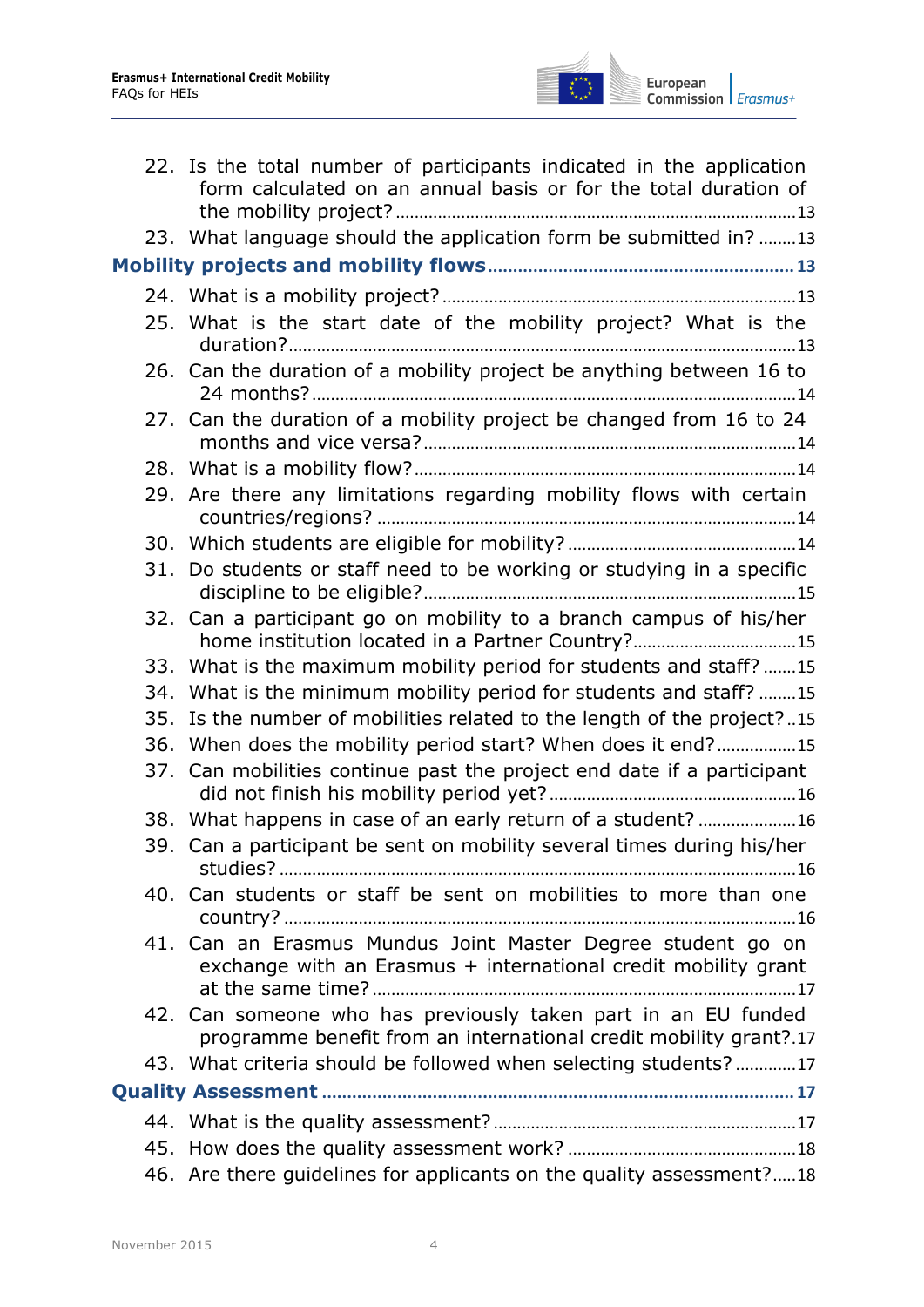

|     | 22. Is the total number of participants indicated in the application<br>form calculated on an annual basis or for the total duration of |  |  |  |  |
|-----|-----------------------------------------------------------------------------------------------------------------------------------------|--|--|--|--|
|     | 23. What language should the application form be submitted in? 13                                                                       |  |  |  |  |
|     |                                                                                                                                         |  |  |  |  |
|     |                                                                                                                                         |  |  |  |  |
|     | 25. What is the start date of the mobility project? What is the                                                                         |  |  |  |  |
|     | 26. Can the duration of a mobility project be anything between 16 to                                                                    |  |  |  |  |
|     | 27. Can the duration of a mobility project be changed from 16 to 24                                                                     |  |  |  |  |
|     |                                                                                                                                         |  |  |  |  |
|     | 29. Are there any limitations regarding mobility flows with certain                                                                     |  |  |  |  |
|     |                                                                                                                                         |  |  |  |  |
|     | 31. Do students or staff need to be working or studying in a specific                                                                   |  |  |  |  |
|     | 32. Can a participant go on mobility to a branch campus of his/her<br>home institution located in a Partner Country?15                  |  |  |  |  |
|     | 33. What is the maximum mobility period for students and staff? 15                                                                      |  |  |  |  |
|     | 34. What is the minimum mobility period for students and staff? 15                                                                      |  |  |  |  |
| 35. | Is the number of mobilities related to the length of the project?15                                                                     |  |  |  |  |
|     | 36. When does the mobility period start? When does it end?15                                                                            |  |  |  |  |
|     | 37. Can mobilities continue past the project end date if a participant                                                                  |  |  |  |  |
|     | 38. What happens in case of an early return of a student? 16                                                                            |  |  |  |  |
|     | 39. Can a participant be sent on mobility several times during his/her                                                                  |  |  |  |  |
|     | 40. Can students or staff be sent on mobilities to more than one                                                                        |  |  |  |  |
|     | 41. Can an Erasmus Mundus Joint Master Degree student go on<br>exchange with an Erasmus + international credit mobility grant           |  |  |  |  |
|     | 42. Can someone who has previously taken part in an EU funded<br>programme benefit from an international credit mobility grant?.17      |  |  |  |  |
|     | 43. What criteria should be followed when selecting students?17                                                                         |  |  |  |  |
|     |                                                                                                                                         |  |  |  |  |
|     |                                                                                                                                         |  |  |  |  |
|     |                                                                                                                                         |  |  |  |  |
|     | 46. Are there guidelines for applicants on the quality assessment?18                                                                    |  |  |  |  |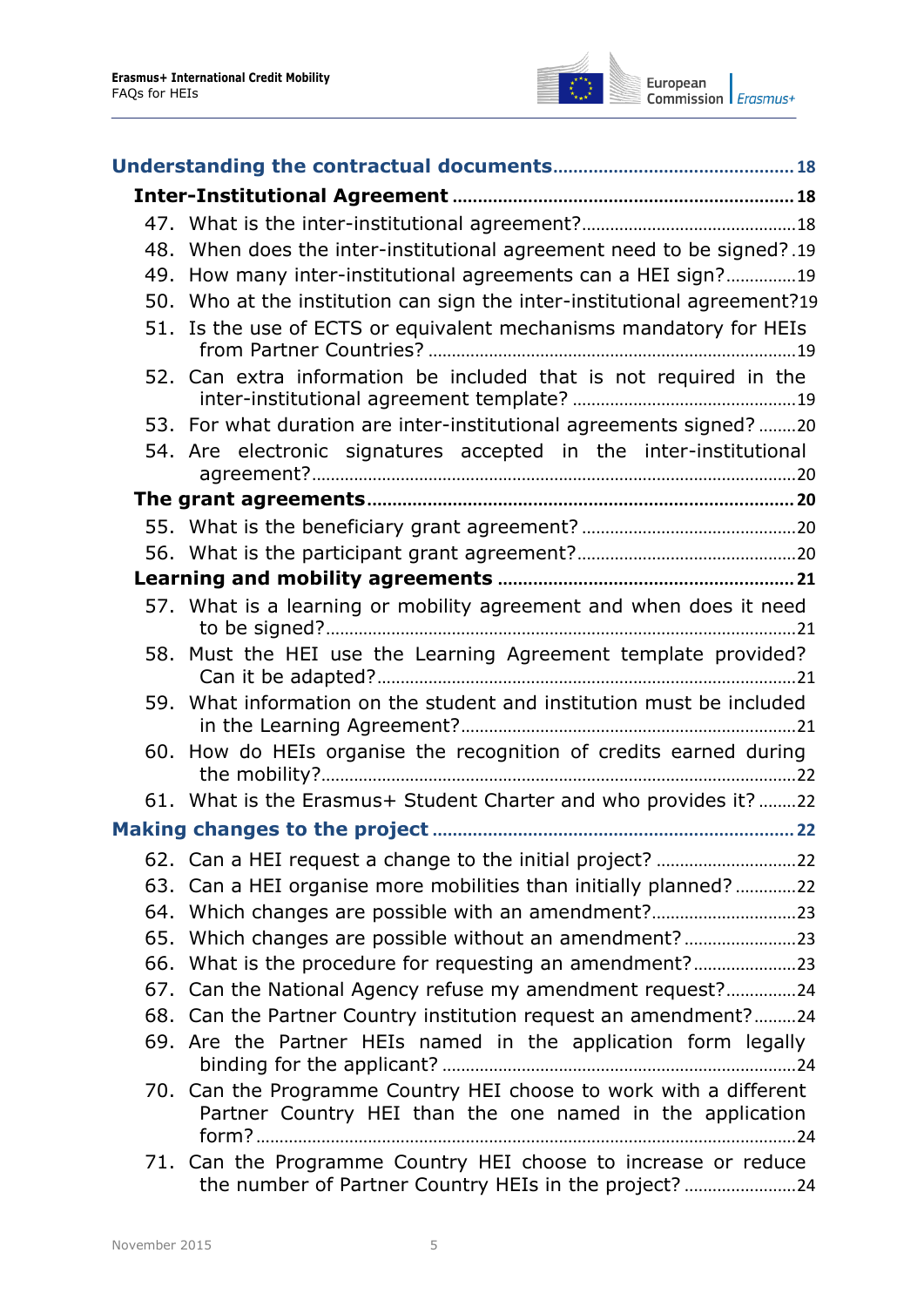

|     | 48. When does the inter-institutional agreement need to be signed?.19                                                          |  |  |
|-----|--------------------------------------------------------------------------------------------------------------------------------|--|--|
|     | 49. How many inter-institutional agreements can a HEI sign?19                                                                  |  |  |
|     | 50. Who at the institution can sign the inter-institutional agreement?19                                                       |  |  |
|     | 51. Is the use of ECTS or equivalent mechanisms mandatory for HEIs                                                             |  |  |
|     | 52. Can extra information be included that is not required in the                                                              |  |  |
|     | 53. For what duration are inter-institutional agreements signed? 20                                                            |  |  |
|     | 54. Are electronic signatures accepted in the inter-institutional                                                              |  |  |
|     |                                                                                                                                |  |  |
|     |                                                                                                                                |  |  |
|     |                                                                                                                                |  |  |
|     |                                                                                                                                |  |  |
|     | 57. What is a learning or mobility agreement and when does it need                                                             |  |  |
|     | 58. Must the HEI use the Learning Agreement template provided?                                                                 |  |  |
|     | 59. What information on the student and institution must be included                                                           |  |  |
|     | 60. How do HEIs organise the recognition of credits earned during                                                              |  |  |
|     | 61. What is the Erasmus+ Student Charter and who provides it? 22                                                               |  |  |
|     |                                                                                                                                |  |  |
|     |                                                                                                                                |  |  |
|     | 63. Can a HEI organise more mobilities than initially planned?22                                                               |  |  |
|     | 64. Which changes are possible with an amendment?                                                                              |  |  |
| 65. | Which changes are possible without an amendment?                                                                               |  |  |
|     | 66. What is the procedure for requesting an amendment?                                                                         |  |  |
|     | 67. Can the National Agency refuse my amendment request?24                                                                     |  |  |
|     | 68. Can the Partner Country institution request an amendment?24                                                                |  |  |
|     | 69. Are the Partner HEIs named in the application form legally                                                                 |  |  |
|     | 70. Can the Programme Country HEI choose to work with a different<br>Partner Country HEI than the one named in the application |  |  |
|     | 71. Can the Programme Country HEI choose to increase or reduce<br>the number of Partner Country HEIs in the project? 24        |  |  |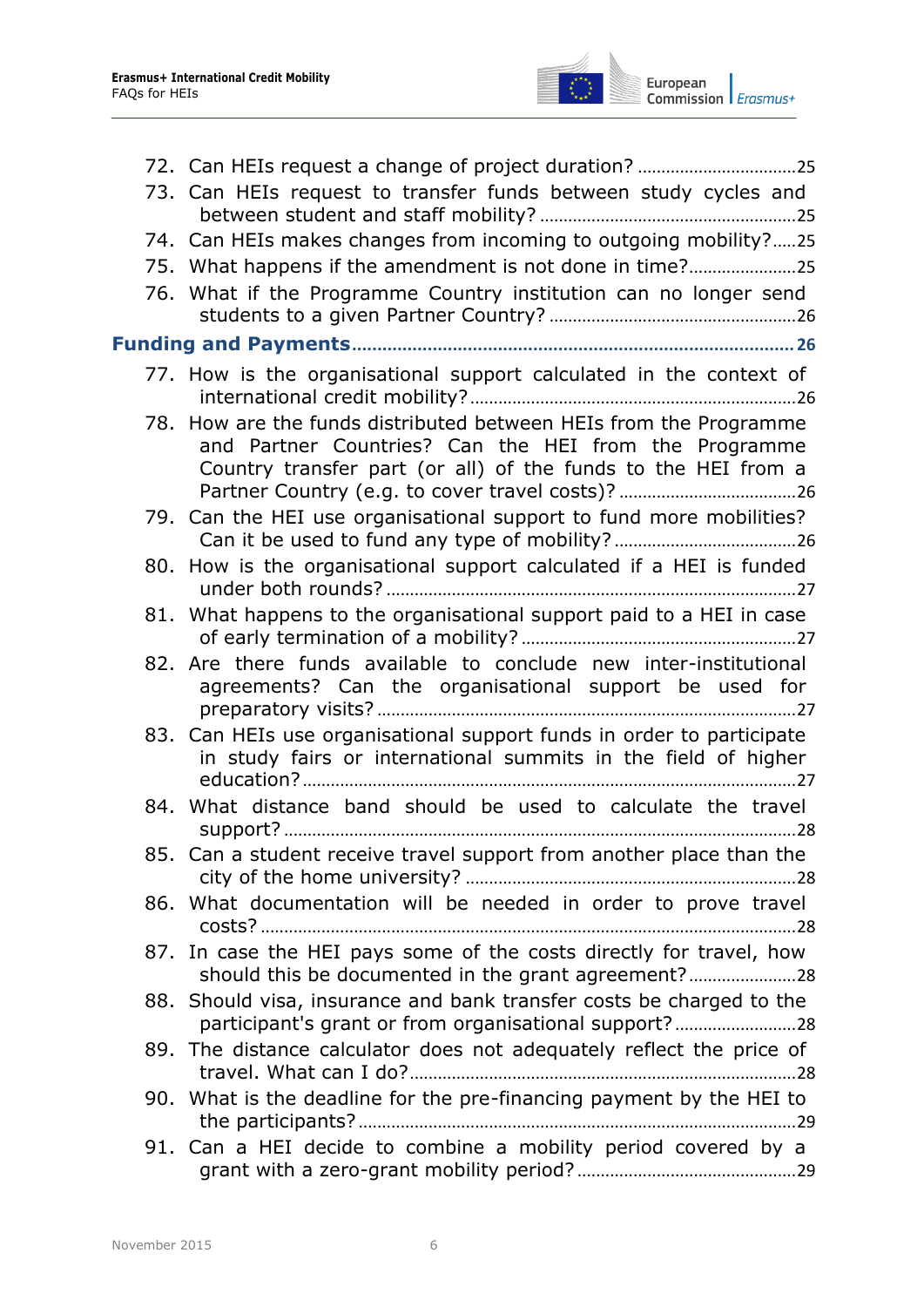

| 73. Can HEIs request to transfer funds between study cycles and                                                                                                                             |
|---------------------------------------------------------------------------------------------------------------------------------------------------------------------------------------------|
| 74. Can HEIs makes changes from incoming to outgoing mobility?25                                                                                                                            |
| 75. What happens if the amendment is not done in time?25                                                                                                                                    |
| 76. What if the Programme Country institution can no longer send                                                                                                                            |
|                                                                                                                                                                                             |
| 77. How is the organisational support calculated in the context of                                                                                                                          |
| 78. How are the funds distributed between HEIs from the Programme<br>and Partner Countries? Can the HEI from the Programme<br>Country transfer part (or all) of the funds to the HEI from a |
| 79. Can the HEI use organisational support to fund more mobilities?                                                                                                                         |
| 80. How is the organisational support calculated if a HEI is funded                                                                                                                         |
| 81. What happens to the organisational support paid to a HEI in case                                                                                                                        |
| 82. Are there funds available to conclude new inter-institutional<br>agreements? Can the organisational support be used for                                                                 |
| 83. Can HEIs use organisational support funds in order to participate<br>in study fairs or international summits in the field of higher                                                     |
| 84. What distance band should be used to calculate the travel                                                                                                                               |
| 85. Can a student receive travel support from another place than the                                                                                                                        |
| 86. What documentation will be needed in order to prove travel                                                                                                                              |
| 87. In case the HEI pays some of the costs directly for travel, how<br>should this be documented in the grant agreement?                                                                    |
| 88. Should visa, insurance and bank transfer costs be charged to the<br>participant's grant or from organisational support?28                                                               |
| 89. The distance calculator does not adequately reflect the price of                                                                                                                        |
| 90. What is the deadline for the pre-financing payment by the HEI to                                                                                                                        |
| 91. Can a HEI decide to combine a mobility period covered by a                                                                                                                              |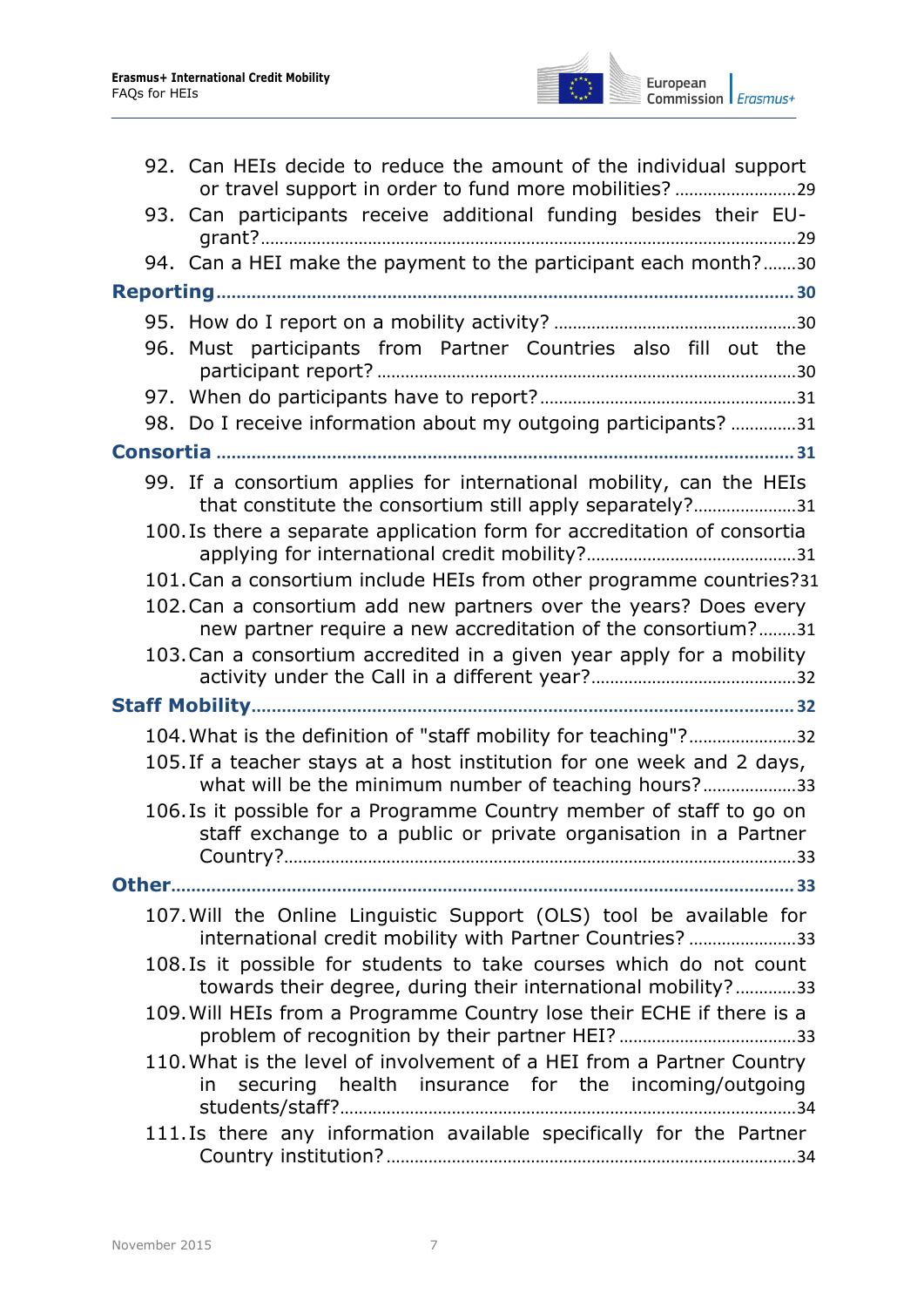

|  | 92. Can HEIs decide to reduce the amount of the individual support                                                                      |
|--|-----------------------------------------------------------------------------------------------------------------------------------------|
|  | 93. Can participants receive additional funding besides their EU-                                                                       |
|  | 94. Can a HEI make the payment to the participant each month?30                                                                         |
|  |                                                                                                                                         |
|  |                                                                                                                                         |
|  | 96. Must participants from Partner Countries also fill out the                                                                          |
|  |                                                                                                                                         |
|  | 98. Do I receive information about my outgoing participants? 31                                                                         |
|  |                                                                                                                                         |
|  | 99. If a consortium applies for international mobility, can the HEIs<br>that constitute the consortium still apply separately?31        |
|  | 100. Is there a separate application form for accreditation of consortia                                                                |
|  | 101. Can a consortium include HEIs from other programme countries?31                                                                    |
|  | 102. Can a consortium add new partners over the years? Does every<br>new partner require a new accreditation of the consortium?31       |
|  | 103. Can a consortium accredited in a given year apply for a mobility                                                                   |
|  |                                                                                                                                         |
|  | 104. What is the definition of "staff mobility for teaching"?32                                                                         |
|  | 105. If a teacher stays at a host institution for one week and 2 days,<br>what will be the minimum number of teaching hours?33          |
|  | 106. Is it possible for a Programme Country member of staff to go on<br>staff exchange to a public or private organisation in a Partner |
|  |                                                                                                                                         |
|  | 107. Will the Online Linguistic Support (OLS) tool be available for<br>international credit mobility with Partner Countries? 33         |
|  | 108. Is it possible for students to take courses which do not count<br>towards their degree, during their international mobility?33     |
|  | 109. Will HEIs from a Programme Country lose their ECHE if there is a                                                                   |
|  | 110. What is the level of involvement of a HEI from a Partner Country<br>in securing health insurance for the incoming/outgoing         |
|  | 111. Is there any information available specifically for the Partner                                                                    |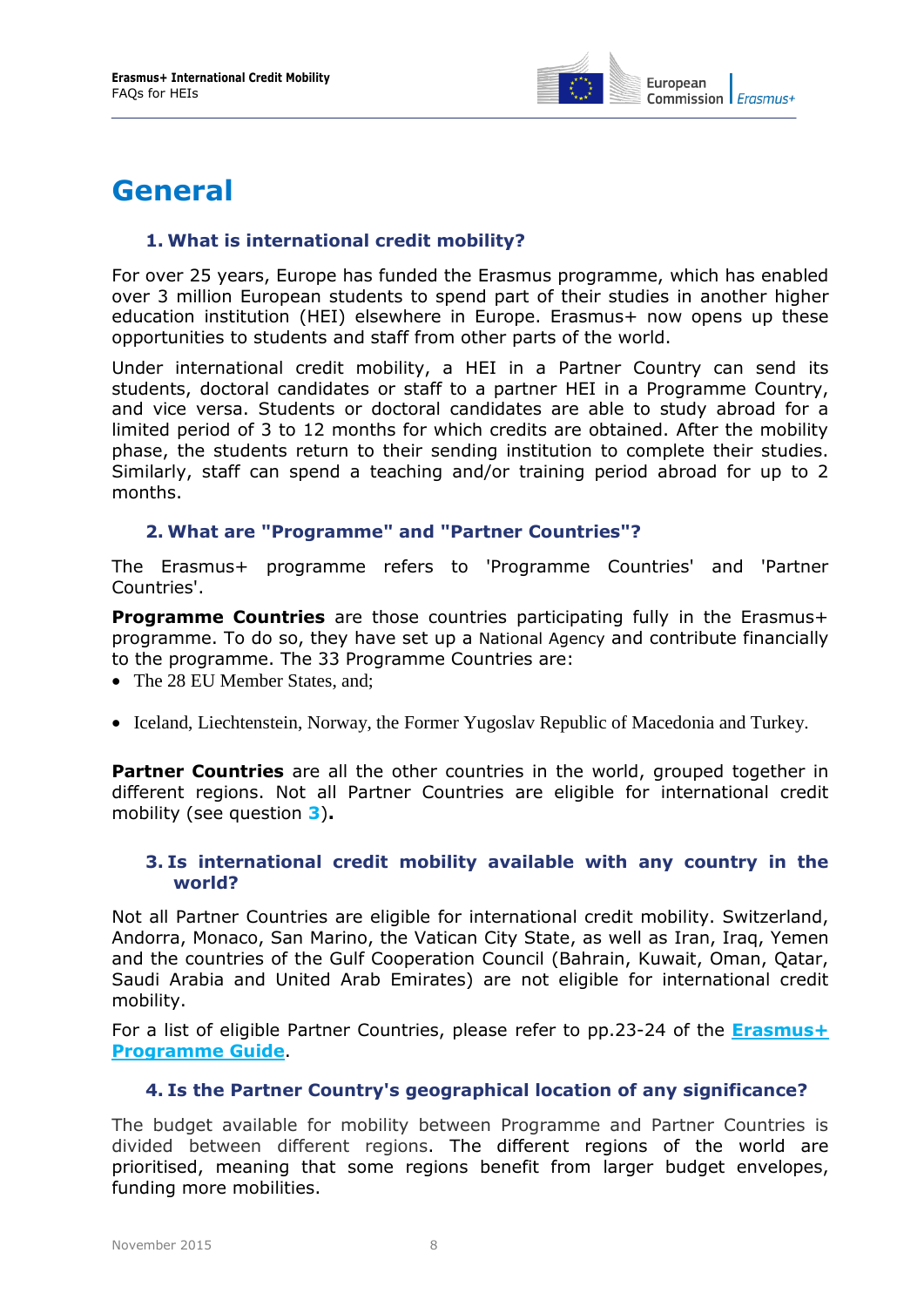

### <span id="page-7-1"></span><span id="page-7-0"></span>**General**

#### **1. What is international credit mobility?**

For over 25 years, Europe has funded the Erasmus programme, which has enabled over 3 million European students to spend part of their studies in another higher education institution (HEI) elsewhere in Europe. Erasmus+ now opens up these opportunities to students and staff from other parts of the world.

Under international credit mobility, a HEI in a Partner Country can send its students, doctoral candidates or staff to a partner HEI in a Programme Country, and vice versa. Students or doctoral candidates are able to study abroad for a limited period of 3 to 12 months for which credits are obtained. After the mobility phase, the students return to their sending institution to complete their studies. Similarly, staff can spend a teaching and/or training period abroad for up to 2 months.

#### <span id="page-7-2"></span>**2. What are "Programme" and "Partner Countries"?**

The Erasmus+ programme refers to 'Programme Countries' and 'Partner Countries'.

**Programme Countries** are those countries participating fully in the Erasmus+ programme. To do so, they have set up a [National Agency](http://ec.europa.eu/programmes/erasmus-plus/tools/national-agencies/index_en.htm) and contribute financially to the programme. The 33 Programme Countries are:

- The 28 EU Member States, and:
- Iceland, Liechtenstein, Norway, the Former Yugoslav Republic of Macedonia and Turkey.

**Partner Countries** are all the other countries in the world, grouped together in different regions. Not all Partner Countries are eligible for international credit mobility (see question **[3](#page-7-3)**)**.**

#### <span id="page-7-3"></span>**3. Is international credit mobility available with any country in the world?**

Not all Partner Countries are eligible for international credit mobility. Switzerland, Andorra, Monaco, San Marino, the Vatican City State, as well as Iran, Iraq, Yemen and the countries of the Gulf Cooperation Council (Bahrain, Kuwait, Oman, Qatar, Saudi Arabia and United Arab Emirates) are not eligible for international credit mobility.

<span id="page-7-4"></span>For a list of eligible Partner Countries, please refer to pp.23-24 of the **[Erasmus+](http://ec.europa.eu/programmes/erasmus-plus/discover/guide/index_en.htm)  [Programme Guide](http://ec.europa.eu/programmes/erasmus-plus/discover/guide/index_en.htm)**.

#### **4. Is the Partner Country's geographical location of any significance?**

The budget available for mobility between Programme and Partner Countries is divided between different regions. The different regions of the world are prioritised, meaning that some regions benefit from larger budget envelopes, funding more mobilities.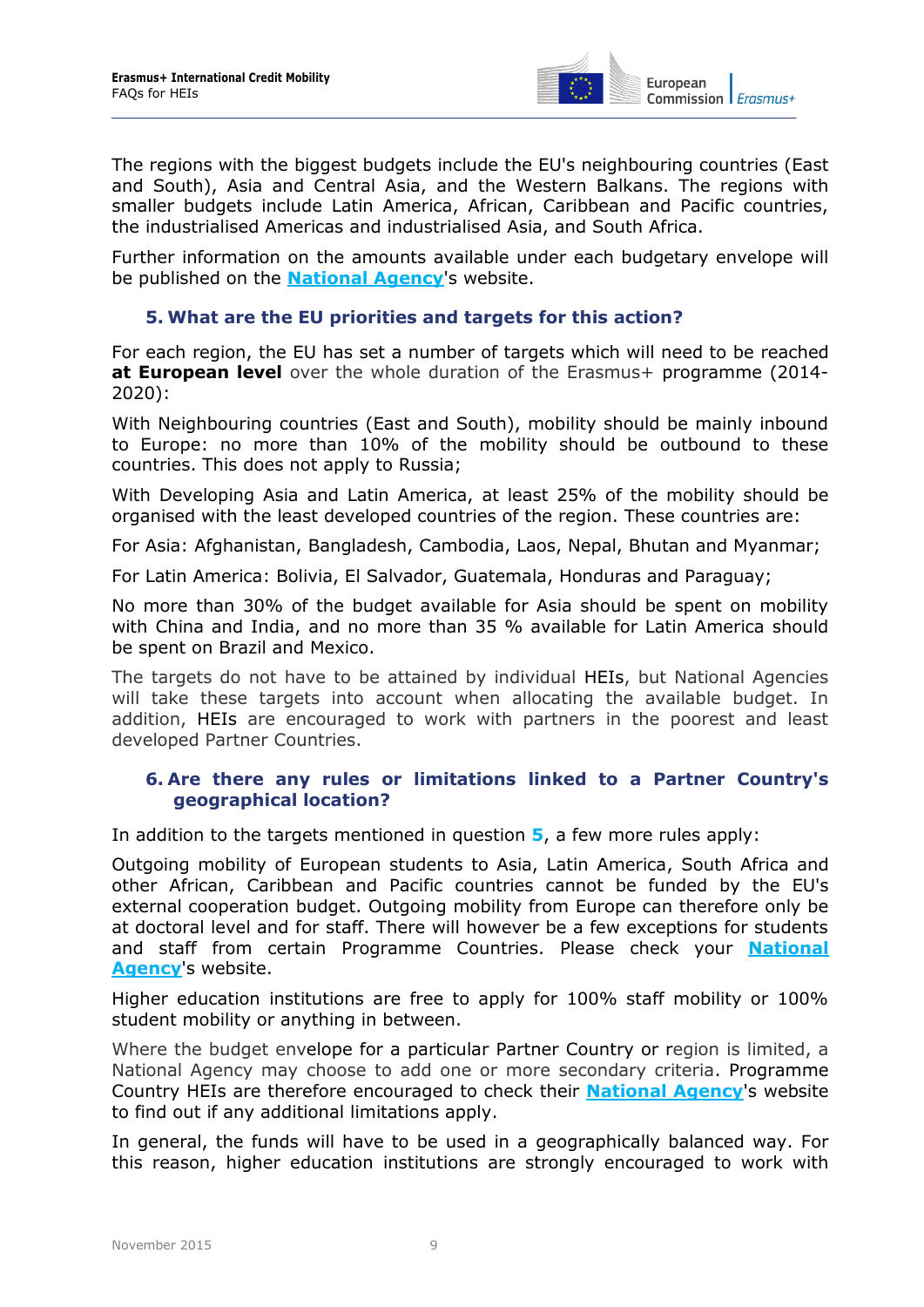

The regions with the biggest budgets include the EU's neighbouring countries (East and South), Asia and Central Asia, and the Western Balkans. The regions with smaller budgets include Latin America, African, Caribbean and Pacific countries, the industrialised Americas and industrialised Asia, and South Africa.

<span id="page-8-0"></span>Further information on the amounts available under each budgetary envelope will be published on the **[National Agency](http://ec.europa.eu/programmes/erasmus-plus/tools/national-agencies/index_en.htm)**'s website.

#### **5. What are the EU priorities and targets for this action?**

For each region, the EU has set a number of targets which will need to be reached **at European level** over the whole duration of the Erasmus+ programme (2014- 2020):

With Neighbouring countries (East and South), mobility should be mainly inbound to Europe: no more than 10% of the mobility should be outbound to these countries. This does not apply to Russia;

With Developing Asia and Latin America, at least 25% of the mobility should be organised with the least developed countries of the region. These countries are:

For Asia: Afghanistan, Bangladesh, Cambodia, Laos, Nepal, Bhutan and Myanmar;

For Latin America: Bolivia, El Salvador, Guatemala, Honduras and Paraguay;

No more than 30% of the budget available for Asia should be spent on mobility with China and India, and no more than 35 % available for Latin America should be spent on Brazil and Mexico.

The targets do not have to be attained by individual HEIs, but National Agencies will take these targets into account when allocating the available budget. In addition, HEIs are encouraged to work with partners in the poorest and least developed Partner Countries.

#### <span id="page-8-1"></span>**6. Are there any rules or limitations linked to a Partner Country's geographical location?**

In addition to the targets mentioned in question **[5](#page-8-0)**, a few more rules apply:

Outgoing mobility of European students to Asia, Latin America, South Africa and other African, Caribbean and Pacific countries cannot be funded by the EU's external cooperation budget. Outgoing mobility from Europe can therefore only be at doctoral level and for staff. There will however be a few exceptions for students and staff from certain Programme Countries. Please check your **[National](http://ec.europa.eu/programmes/erasmus-plus/tools/national-agencies/index_en.htm)  [Agency](http://ec.europa.eu/programmes/erasmus-plus/tools/national-agencies/index_en.htm)**'s website.

Higher education institutions are free to apply for 100% staff mobility or 100% student mobility or anything in between.

Where the budget envelope for a particular Partner Country or region is limited, a National Agency may choose to add one or more secondary criteria. Programme Country HEIs are therefore encouraged to check their **[National Agency](http://ec.europa.eu/programmes/erasmus-plus/tools/national-agencies/index_en.htm)**'s website to find out if any additional limitations apply.

In general, the funds will have to be used in a geographically balanced way. For this reason, higher education institutions are strongly encouraged to work with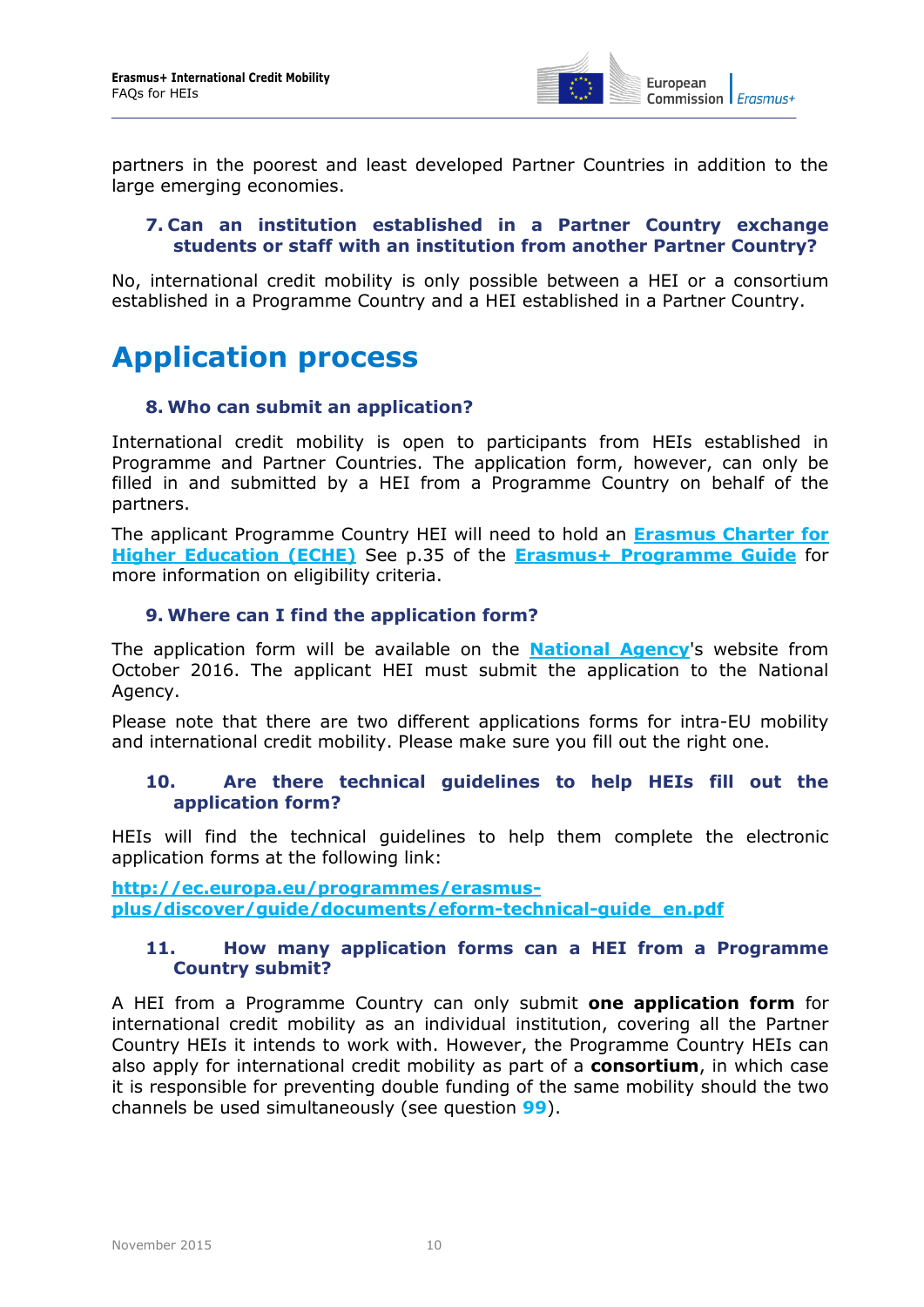

<span id="page-9-0"></span>partners in the poorest and least developed Partner Countries in addition to the large emerging economies.

#### **7. Can an institution established in a Partner Country exchange students or staff with an institution from another Partner Country?**

No, international credit mobility is only possible between a HEI or a consortium established in a Programme Country and a HEI established in a Partner Country.

# <span id="page-9-2"></span><span id="page-9-1"></span>**Application process**

#### **8. Who can submit an application?**

International credit mobility is open to participants from HEIs established in Programme and Partner Countries. The application form, however, can only be filled in and submitted by a HEI from a Programme Country on behalf of the partners.

The applicant Programme Country HEI will need to hold an **[Erasmus Charter for](https://eacea.ec.europa.eu/erasmus-plus/funding/erasmus-charter-for-higher-education-2014-2020_en)  [Higher Education \(ECHE\)](https://eacea.ec.europa.eu/erasmus-plus/funding/erasmus-charter-for-higher-education-2014-2020_en)** See p.35 of the **Erasmus+ [Programme Guide](http://ec.europa.eu/programmes/erasmus-plus/discover/guide/index_en.htm)** for more information on eligibility criteria.

#### <span id="page-9-3"></span>**9. Where can I find the application form?**

The application form will be available on the **[National Agency](http://ec.europa.eu/programmes/erasmus-plus/tools/national-agencies/index_en.htm)**'s website from October 2016. The applicant HEI must submit the application to the National Agency.

<span id="page-9-4"></span>Please note that there are two different applications forms for intra-EU mobility and international credit mobility. Please make sure you fill out the right one.

#### **10. Are there technical guidelines to help HEIs fill out the application form?**

HEIs will find the technical guidelines to help them complete the electronic application forms at the following link:

<span id="page-9-5"></span>**[http://ec.europa.eu/programmes/erasmus](http://ec.europa.eu/programmes/erasmus-plus/discover/guide/documents/eform-technical-guide_en.pdf)[plus/discover/guide/documents/eform-technical-guide\\_en.pdf](http://ec.europa.eu/programmes/erasmus-plus/discover/guide/documents/eform-technical-guide_en.pdf)**

#### **11. How many application forms can a HEI from a Programme Country submit?**

A HEI from a Programme Country can only submit **one application form** for international credit mobility as an individual institution, covering all the Partner Country HEIs it intends to work with. However, the Programme Country HEIs can also apply for international credit mobility as part of a **consortium**, in which case it is responsible for preventing double funding of the same mobility should the two channels be used simultaneously (see question **[99](#page-30-3)**).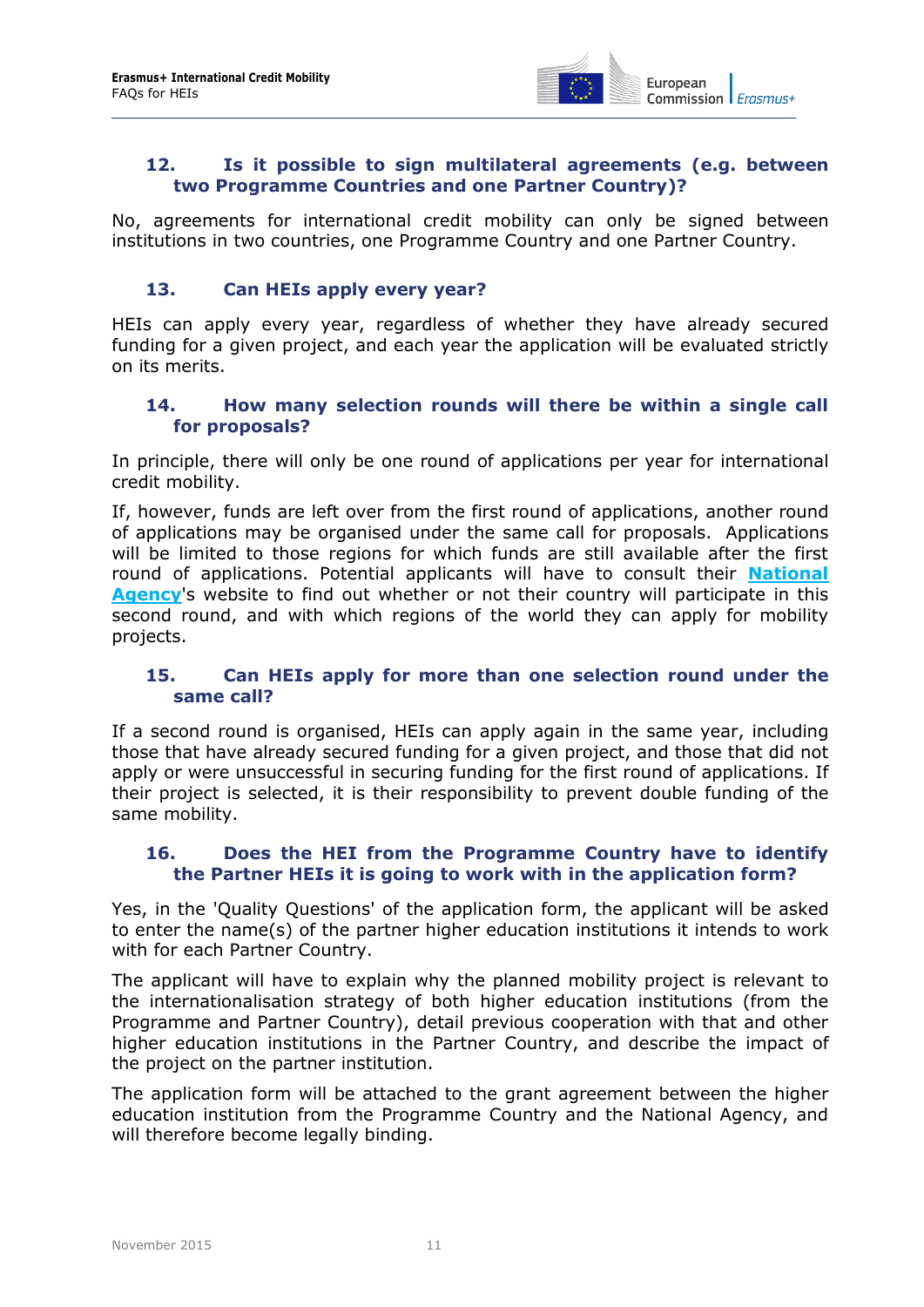

#### <span id="page-10-0"></span>**12. Is it possible to sign multilateral agreements (e.g. between two Programme Countries and one Partner Country)?**

No, agreements for international credit mobility can only be signed between institutions in two countries, one Programme Country and one Partner Country.

#### <span id="page-10-1"></span>**13. Can HEIs apply every year?**

HEIs can apply every year, regardless of whether they have already secured funding for a given project, and each year the application will be evaluated strictly on its merits.

#### <span id="page-10-2"></span>**14. How many selection rounds will there be within a single call for proposals?**

In principle, there will only be one round of applications per year for international credit mobility.

If, however, funds are left over from the first round of applications, another round of applications may be organised under the same call for proposals. Applications will be limited to those regions for which funds are still available after the first round of applications. Potential applicants will have to consult their **[National](http://ec.europa.eu/programmes/erasmus-plus/tools/national-agencies/index_en.htm)  [Agency](http://ec.europa.eu/programmes/erasmus-plus/tools/national-agencies/index_en.htm)**'s website to find out whether or not their country will participate in this second round, and with which regions of the world they can apply for mobility projects.

#### <span id="page-10-3"></span>**15. Can HEIs apply for more than one selection round under the same call?**

If a second round is organised, HEIs can apply again in the same year, including those that have already secured funding for a given project, and those that did not apply or were unsuccessful in securing funding for the first round of applications. If their project is selected, it is their responsibility to prevent double funding of the same mobility.

#### <span id="page-10-4"></span>**16. Does the HEI from the Programme Country have to identify the Partner HEIs it is going to work with in the application form?**

Yes, in the 'Quality Questions' of the application form, the applicant will be asked to enter the name(s) of the partner higher education institutions it intends to work with for each Partner Country.

The applicant will have to explain why the planned mobility project is relevant to the internationalisation strategy of both higher education institutions (from the Programme and Partner Country), detail previous cooperation with that and other higher education institutions in the Partner Country, and describe the impact of the project on the partner institution.

The application form will be attached to the grant agreement between the higher education institution from the Programme Country and the National Agency, and will therefore become legally binding.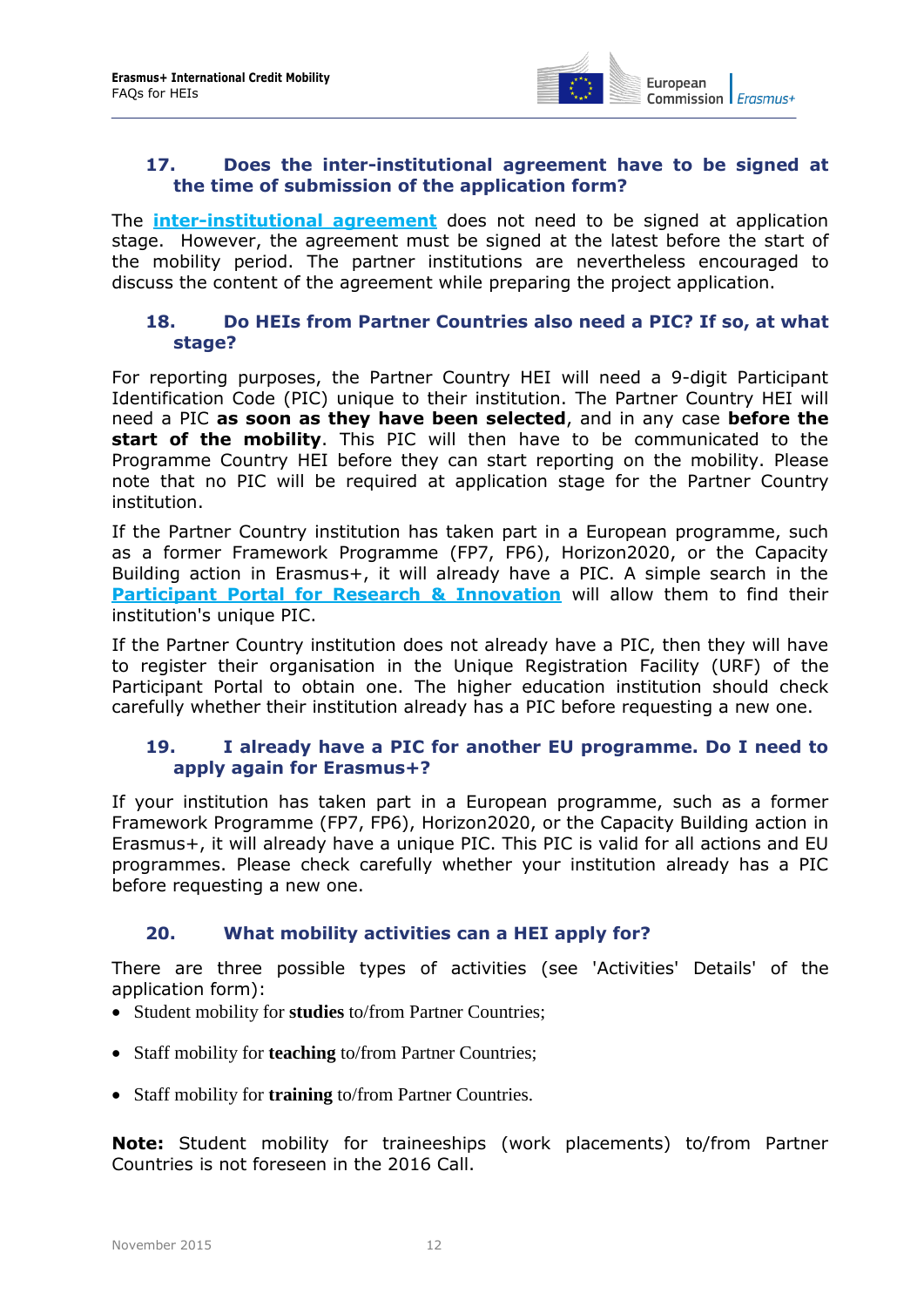

#### <span id="page-11-0"></span>**17. Does the inter-institutional agreement have to be signed at the time of submission of the application form?**

The **[inter-institutional agreement](http://ec.europa.eu/education/opportunities/higher-education/quality-framework_en.htm)** does not need to be signed at application stage. However, the agreement must be signed at the latest before the start of the mobility period. The partner institutions are nevertheless encouraged to discuss the content of the agreement while preparing the project application.

#### <span id="page-11-1"></span>**18. Do HEIs from Partner Countries also need a PIC? If so, at what stage?**

For reporting purposes, the Partner Country HEI will need a 9-digit Participant Identification Code (PIC) unique to their institution. The Partner Country HEI will need a PIC **as soon as they have been selected**, and in any case **before the start of the mobility**. This PIC will then have to be communicated to the Programme Country HEI before they can start reporting on the mobility. Please note that no PIC will be required at application stage for the Partner Country institution.

If the Partner Country institution has taken part in a European programme, such as a former Framework Programme (FP7, FP6), Horizon2020, or the Capacity Building action in Erasmus+, it will already have a PIC. A simple search in the **[Participant Portal for Research & Innovation](http://ec.europa.eu/research/participants/portal/desktop/en/organisations/register.html)** will allow them to find their institution's unique PIC.

If the Partner Country institution does not already have a PIC, then they will have to register their organisation in the Unique Registration Facility (URF) of the Participant Portal to obtain one. The higher education institution should check carefully whether their institution already has a PIC before requesting a new one.

#### <span id="page-11-2"></span>**19. I already have a PIC for another EU programme. Do I need to apply again for Erasmus+?**

If your institution has taken part in a European programme, such as a former Framework Programme (FP7, FP6), Horizon2020, or the Capacity Building action in Erasmus+, it will already have a unique PIC. This PIC is valid for all actions and EU programmes. Please check carefully whether your institution already has a PIC before requesting a new one.

#### <span id="page-11-3"></span>**20. What mobility activities can a HEI apply for?**

There are three possible types of activities (see 'Activities' Details' of the application form):

- Student mobility for **studies** to/from Partner Countries;
- Staff mobility for **teaching** to/from Partner Countries;
- Staff mobility for **training** to/from Partner Countries.

**Note:** Student mobility for traineeships (work placements) to/from Partner Countries is not foreseen in the 2016 Call.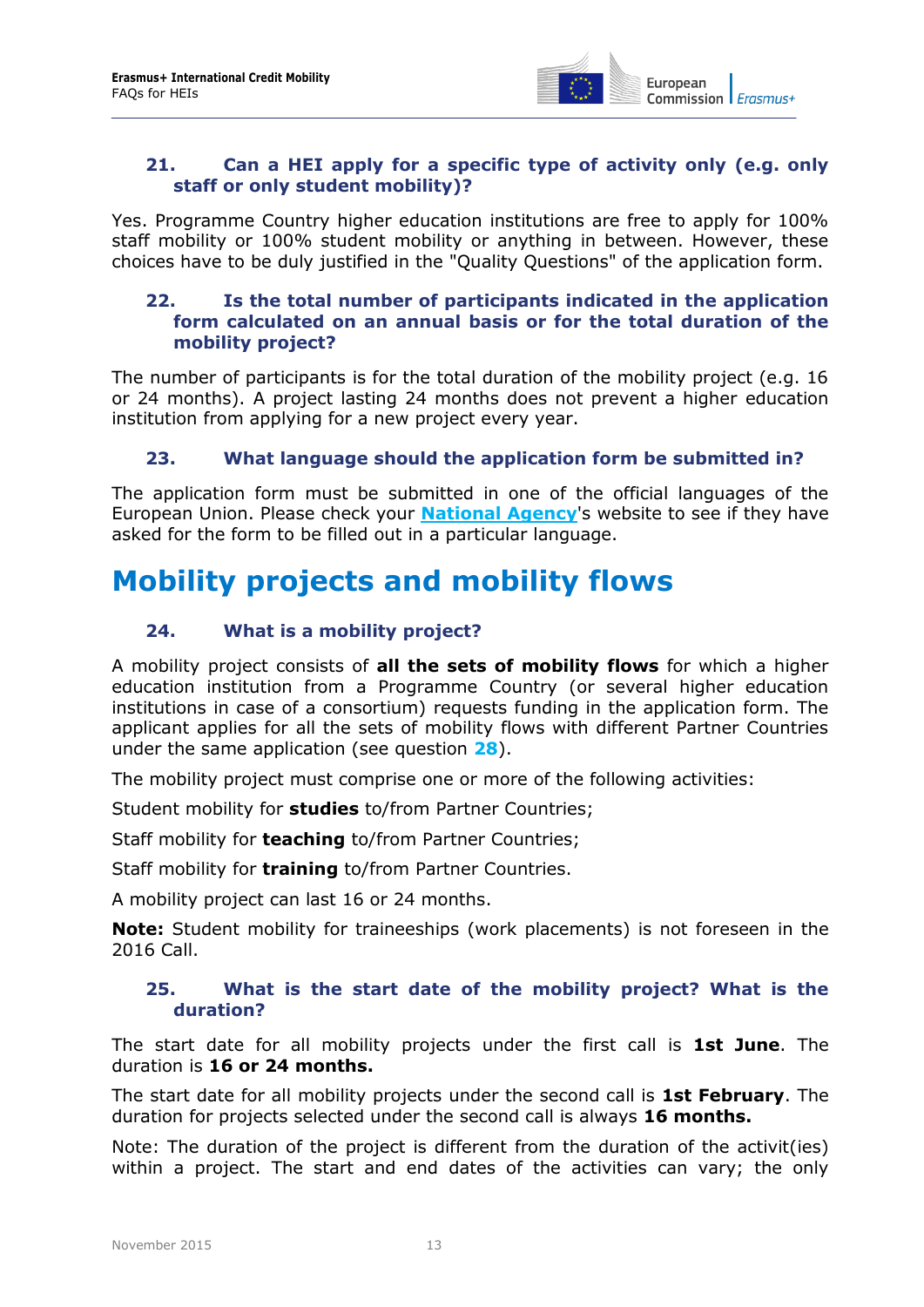

#### <span id="page-12-0"></span>**21. Can a HEI apply for a specific type of activity only (e.g. only staff or only student mobility)?**

Yes. Programme Country higher education institutions are free to apply for 100% staff mobility or 100% student mobility or anything in between. However, these choices have to be duly justified in the "Quality Questions" of the application form.

#### <span id="page-12-1"></span>**22. Is the total number of participants indicated in the application form calculated on an annual basis or for the total duration of the mobility project?**

The number of participants is for the total duration of the mobility project (e.g. 16 or 24 months). A project lasting 24 months does not prevent a higher education institution from applying for a new project every year.

#### <span id="page-12-2"></span>**23. What language should the application form be submitted in?**

The application form must be submitted in one of the official languages of the European Union. Please check your **[National Agency](http://ec.europa.eu/programmes/erasmus-plus/tools/national-agencies/index_en.htm)**'s website to see if they have asked for the form to be filled out in a particular language.

### <span id="page-12-4"></span><span id="page-12-3"></span>**Mobility projects and mobility flows**

#### **24. What is a mobility project?**

A mobility project consists of **all the sets of mobility flows** for which a higher education institution from a Programme Country (or several higher education institutions in case of a consortium) requests funding in the application form. The applicant applies for all the sets of mobility flows with different Partner Countries under the same application (see question **[28](#page-13-2)**).

The mobility project must comprise one or more of the following activities:

Student mobility for **studies** to/from Partner Countries;

Staff mobility for **teaching** to/from Partner Countries;

Staff mobility for **training** to/from Partner Countries.

A mobility project can last 16 or 24 months.

<span id="page-12-5"></span>**Note:** Student mobility for traineeships (work placements) is not foreseen in the 2016 Call.

#### **25. What is the start date of the mobility project? What is the duration?**

The start date for all mobility projects under the first call is **1st June**. The duration is **16 or 24 months.**

The start date for all mobility projects under the second call is **1st February**. The duration for projects selected under the second call is always **16 months.**

Note: The duration of the project is different from the duration of the activit(ies) within a project. The start and end dates of the activities can vary; the only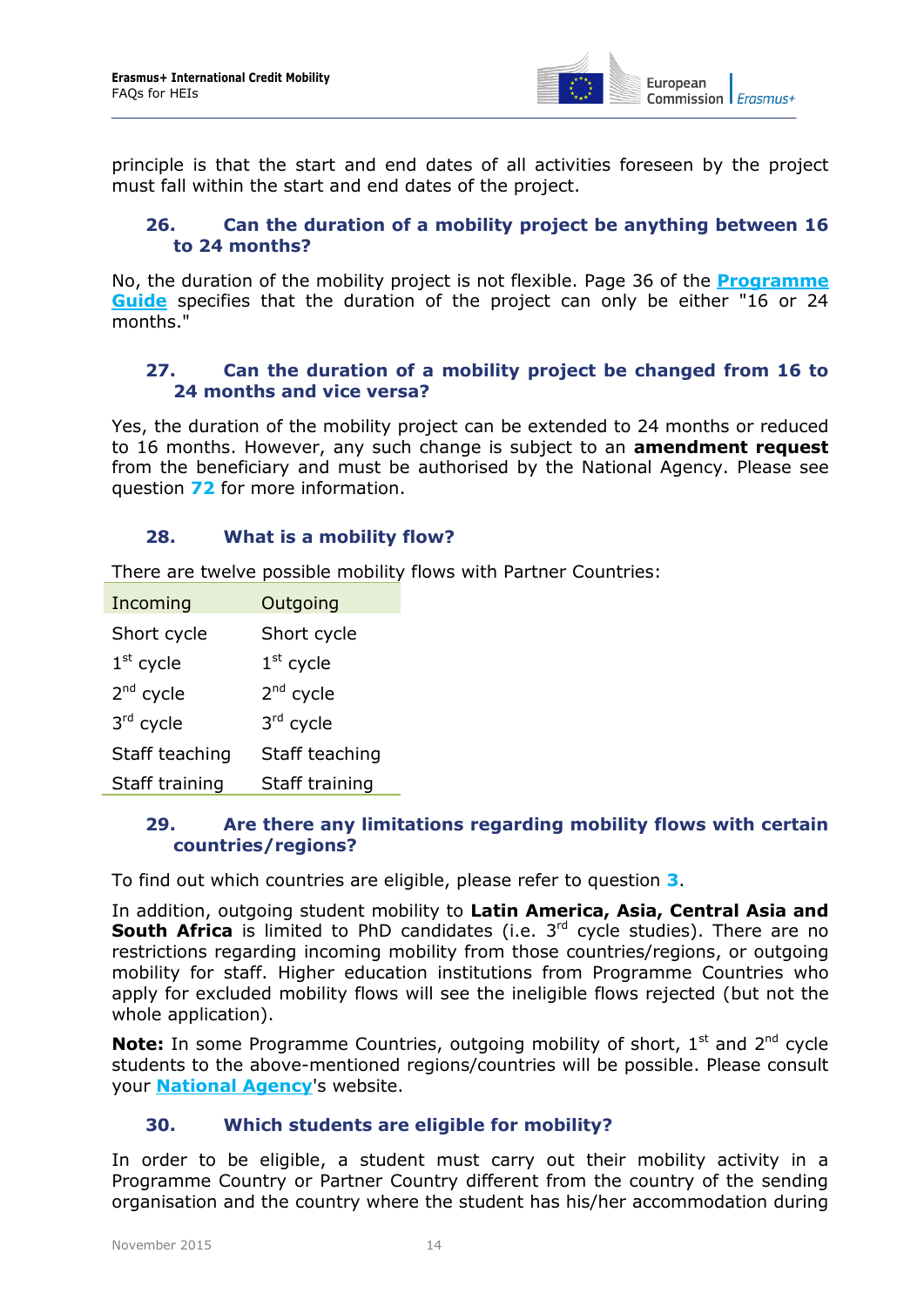

<span id="page-13-0"></span>principle is that the start and end dates of all activities foreseen by the project must fall within the start and end dates of the project.

#### **26. Can the duration of a mobility project be anything between 16 to 24 months?**

No, the duration of the mobility project is not flexible. Page 36 of the **[Programme](http://ec.europa.eu/programmes/erasmus-plus/discover/guide/index_en.htm)  [Guide](http://ec.europa.eu/programmes/erasmus-plus/discover/guide/index_en.htm)** specifies that the duration of the project can only be either "16 or 24 months."

#### <span id="page-13-1"></span>**27. Can the duration of a mobility project be changed from 16 to 24 months and vice versa?**

Yes, the duration of the mobility project can be extended to 24 months or reduced to 16 months. However, any such change is subject to an **amendment request**  from the beneficiary and must be authorised by the National Agency. Please see question **[72](#page-24-0)** for more information.

#### <span id="page-13-2"></span>**28. What is a mobility flow?**

There are twelve possible mobility flows with Partner Countries:

| Incoming       | Outgoing       |
|----------------|----------------|
| Short cycle    | Short cycle    |
| $1st$ cycle    | $1st$ cycle    |
| $2nd$ cycle    | $2nd$ cycle    |
| 3rd cycle      | 3rd cycle      |
| Staff teaching | Staff teaching |
| Staff training | Staff training |

#### <span id="page-13-3"></span>**29. Are there any limitations regarding mobility flows with certain countries/regions?**

To find out which countries are eligible, please refer to question **[3](#page-7-3)**.

In addition, outgoing student mobility to **Latin America, Asia, Central Asia and South Africa** is limited to PhD candidates (i.e. 3<sup>rd</sup> cycle studies). There are no restrictions regarding incoming mobility from those countries/regions, or outgoing mobility for staff. Higher education institutions from Programme Countries who apply for excluded mobility flows will see the ineligible flows rejected (but not the whole application).

**Note:** In some Programme Countries, outgoing mobility of short, 1<sup>st</sup> and 2<sup>nd</sup> cycle students to the above-mentioned regions/countries will be possible. Please consult your **[National Agency](http://ec.europa.eu/programmes/erasmus-plus/tools/national-agencies/index_en.htm)**'s website.

#### <span id="page-13-4"></span>**30. Which students are eligible for mobility?**

In order to be eligible, a student must carry out their mobility activity in a Programme Country or Partner Country different from the country of the sending organisation and the country where the student has his/her accommodation during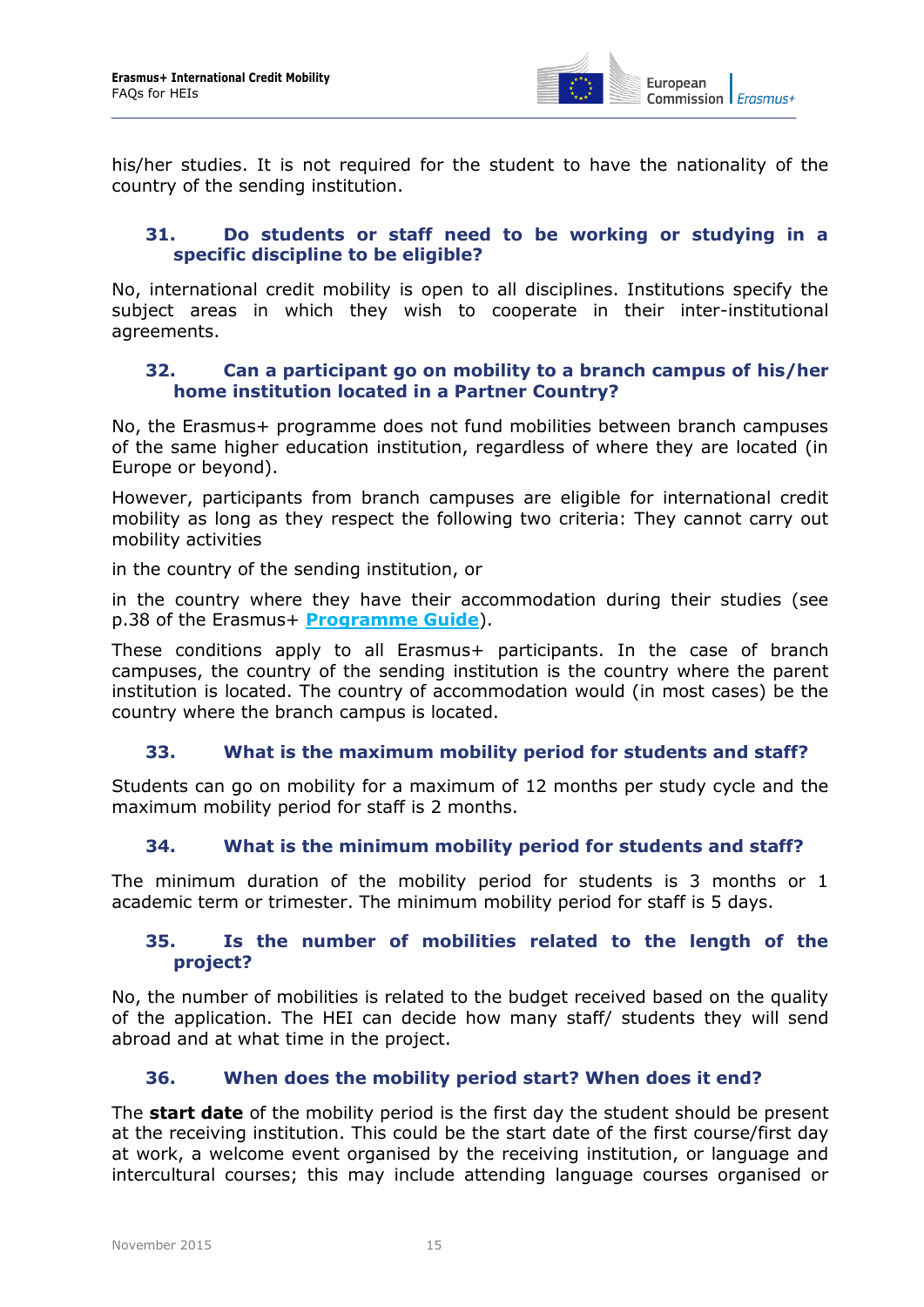

his/her studies. It is not required for the student to have the nationality of the country of the sending institution.

#### <span id="page-14-0"></span>**31. Do students or staff need to be working or studying in a specific discipline to be eligible?**

No, international credit mobility is open to all disciplines. Institutions specify the subject areas in which they wish to cooperate in their inter-institutional agreements.

#### <span id="page-14-1"></span>**32. Can a participant go on mobility to a branch campus of his/her home institution located in a Partner Country?**

No, the Erasmus+ programme does not fund mobilities between branch campuses of the same higher education institution, regardless of where they are located (in Europe or beyond).

However, participants from branch campuses are eligible for international credit mobility as long as they respect the following two criteria: They cannot carry out mobility activities

in the country of the sending institution, or

in the country where they have their accommodation during their studies (see p.38 of the Erasmus+ **[Programme Guide](http://ec.europa.eu/programmes/erasmus-plus/discover/guide/index_en.htm)**).

These conditions apply to all Erasmus+ participants. In the case of branch campuses, the country of the sending institution is the country where the parent institution is located. The country of accommodation would (in most cases) be the country where the branch campus is located.

#### <span id="page-14-2"></span>**33. What is the maximum mobility period for students and staff?**

<span id="page-14-3"></span>Students can go on mobility for a maximum of 12 months per study cycle and the maximum mobility period for staff is 2 months.

#### **34. What is the minimum mobility period for students and staff?**

<span id="page-14-4"></span>The minimum duration of the mobility period for students is 3 months or 1 academic term or trimester. The minimum mobility period for staff is 5 days.

#### **35. Is the number of mobilities related to the length of the project?**

No, the number of mobilities is related to the budget received based on the quality of the application. The HEI can decide how many staff/ students they will send abroad and at what time in the project.

#### <span id="page-14-5"></span>**36. When does the mobility period start? When does it end?**

The **start date** of the mobility period is the first day the student should be present at the receiving institution. This could be the start date of the first course/first day at work, a welcome event organised by the receiving institution, or language and intercultural courses; this may include attending language courses organised or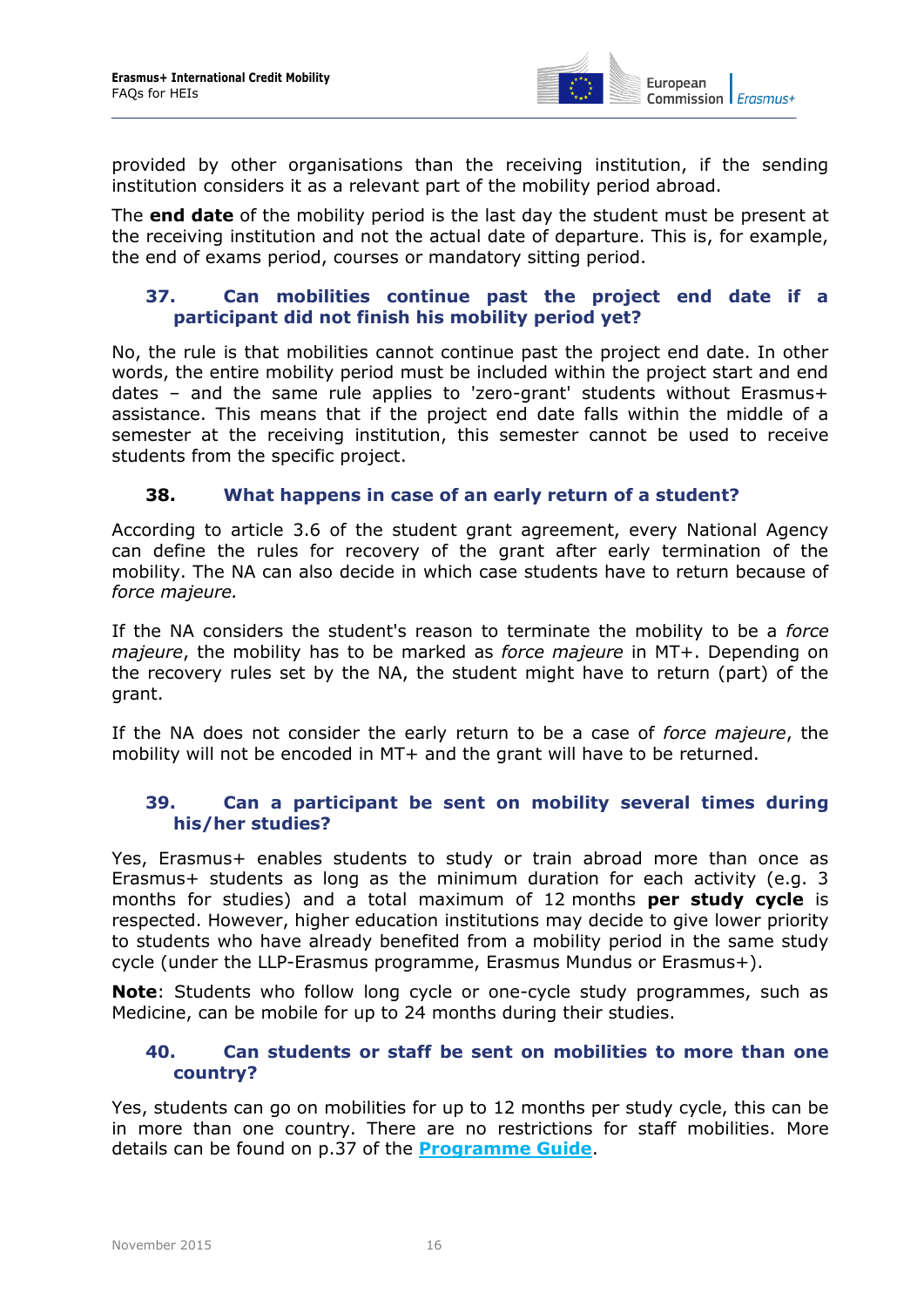

provided by other organisations than the receiving institution, if the sending institution considers it as a relevant part of the mobility period abroad.

The **end date** of the mobility period is the last day the student must be present at the receiving institution and not the actual date of departure. This is, for example, the end of exams period, courses or mandatory sitting period.

#### <span id="page-15-0"></span>**37. Can mobilities continue past the project end date if a participant did not finish his mobility period yet?**

No, the rule is that mobilities cannot continue past the project end date. In other words, the entire mobility period must be included within the project start and end dates – and the same rule applies to 'zero-grant' students without Erasmus+ assistance. This means that if the project end date falls within the middle of a semester at the receiving institution, this semester cannot be used to receive students from the specific project.

#### <span id="page-15-1"></span>**38. What happens in case of an early return of a student?**

According to article 3.6 of the student grant agreement, every National Agency can define the rules for recovery of the grant after early termination of the mobility. The NA can also decide in which case students have to return because of *force majeure.* 

If the NA considers the student's reason to terminate the mobility to be a *force majeure*, the mobility has to be marked as *force majeure* in MT+. Depending on the recovery rules set by the NA, the student might have to return (part) of the grant.

If the NA does not consider the early return to be a case of *force majeure*, the mobility will not be encoded in MT+ and the grant will have to be returned.

#### <span id="page-15-2"></span>**39. Can a participant be sent on mobility several times during his/her studies?**

Yes, Erasmus+ enables students to study or train abroad more than once as Erasmus+ students as long as the minimum duration for each activity (e.g. 3 months for studies) and a total maximum of 12 months **per study cycle** is respected. However, higher education institutions may decide to give lower priority to students who have already benefited from a mobility period in the same study cycle (under the LLP-Erasmus programme, Erasmus Mundus or Erasmus+).

<span id="page-15-3"></span>**Note**: Students who follow long cycle or one-cycle study programmes, such as Medicine, can be mobile for up to 24 months during their studies.

#### **40. Can students or staff be sent on mobilities to more than one country?**

Yes, students can go on mobilities for up to 12 months per study cycle, this can be in more than one country. There are no restrictions for staff mobilities. More details can be found on p.37 of the **[Programme Guide](http://ec.europa.eu/programmes/erasmus-plus/discover/guide/index_en.htm)**.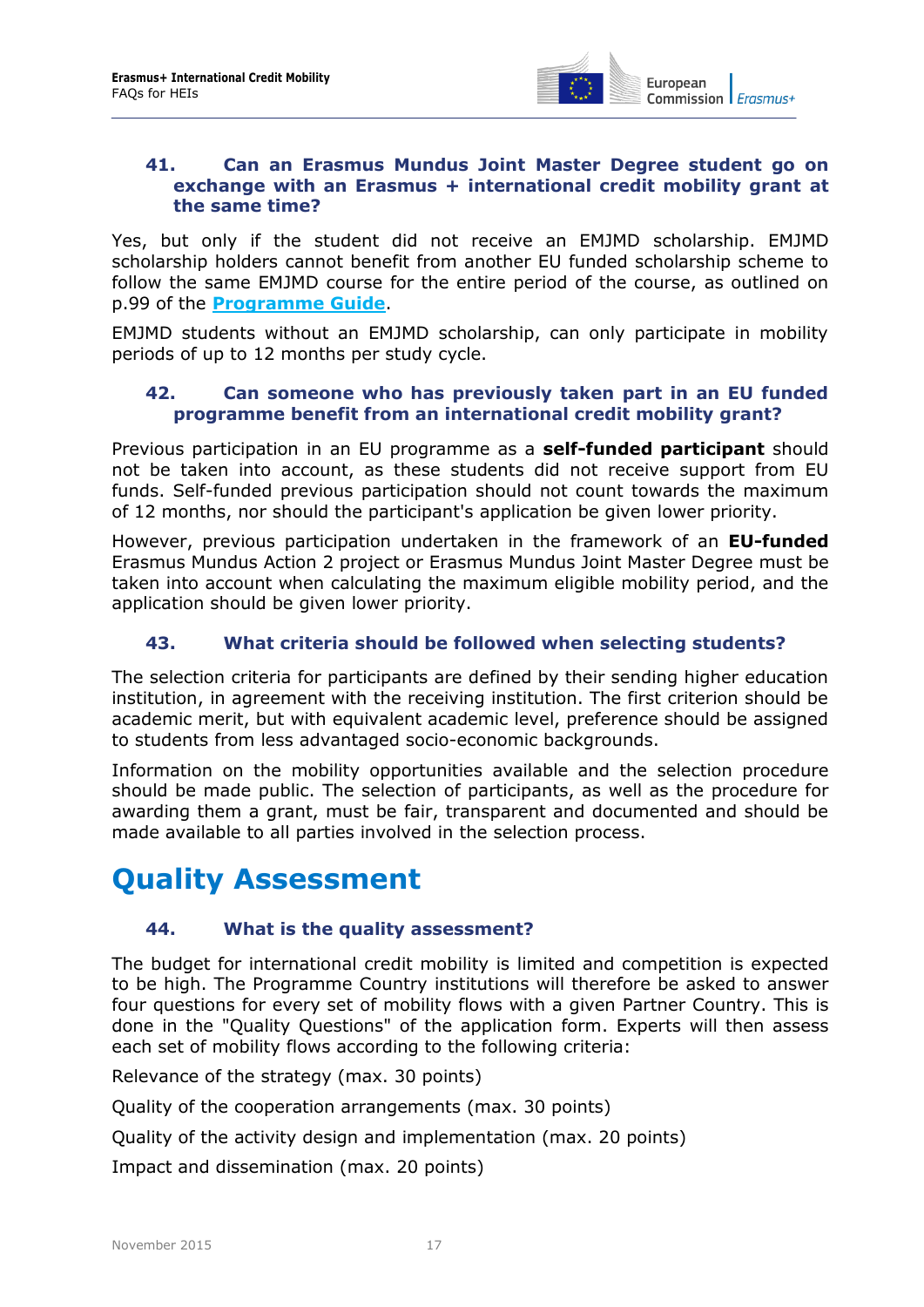

#### <span id="page-16-0"></span>**41. Can an Erasmus Mundus Joint Master Degree student go on exchange with an Erasmus + international credit mobility grant at the same time?**

Yes, but only if the student did not receive an EMJMD scholarship. EMJMD scholarship holders cannot benefit from another EU funded scholarship scheme to follow the same EMJMD course for the entire period of the course, as outlined on p.99 of the **[Programme Guide](http://ec.europa.eu/programmes/erasmus-plus/discover/guide/index_en.htm)**.

<span id="page-16-1"></span>EMJMD students without an EMJMD scholarship, can only participate in mobility periods of up to 12 months per study cycle.

#### **42. Can someone who has previously taken part in an EU funded programme benefit from an international credit mobility grant?**

Previous participation in an EU programme as a **self-funded participant** should not be taken into account, as these students did not receive support from EU funds. Self-funded previous participation should not count towards the maximum of 12 months, nor should the participant's application be given lower priority.

However, previous participation undertaken in the framework of an **EU-funded** Erasmus Mundus Action 2 project or Erasmus Mundus Joint Master Degree must be taken into account when calculating the maximum eligible mobility period, and the application should be given lower priority.

#### <span id="page-16-2"></span>**43. What criteria should be followed when selecting students?**

The selection criteria for participants are defined by their sending higher education institution, in agreement with the receiving institution. The first criterion should be academic merit, but with equivalent academic level, preference should be assigned to students from less advantaged socio-economic backgrounds.

Information on the mobility opportunities available and the selection procedure should be made public. The selection of participants, as well as the procedure for awarding them a grant, must be fair, transparent and documented and should be made available to all parties involved in the selection process.

# <span id="page-16-4"></span><span id="page-16-3"></span>**Quality Assessment**

#### **44. What is the quality assessment?**

The budget for international credit mobility is limited and competition is expected to be high. The Programme Country institutions will therefore be asked to answer four questions for every set of mobility flows with a given Partner Country. This is done in the "Quality Questions" of the application form. Experts will then assess each set of mobility flows according to the following criteria:

Relevance of the strategy (max. 30 points)

Quality of the cooperation arrangements (max. 30 points)

Quality of the activity design and implementation (max. 20 points)

Impact and dissemination (max. 20 points)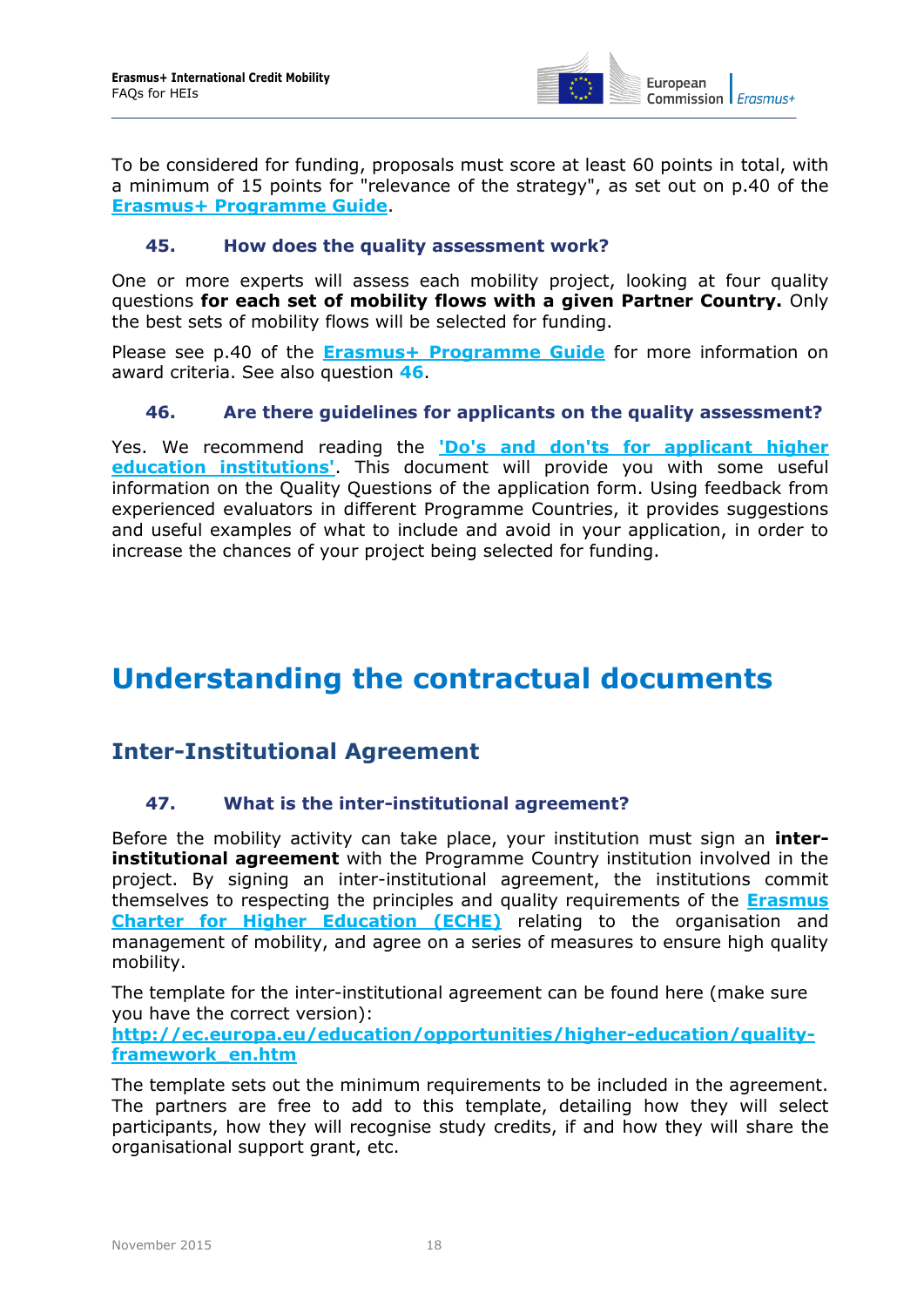

To be considered for funding, proposals must score at least 60 points in total, with a minimum of 15 points for "relevance of the strategy", as set out on p.40 of the **[Erasmus+ Programme Guide](http://ec.europa.eu/programmes/erasmus-plus/discover/guide/index_en.htm)**.

#### <span id="page-17-0"></span>**45. How does the quality assessment work?**

One or more experts will assess each mobility project, looking at four quality questions **for each set of mobility flows with a given Partner Country.** Only the best sets of mobility flows will be selected for funding.

<span id="page-17-1"></span>Please see p.40 of the **Erasmus+ [Programme Guide](http://ec.europa.eu/programmes/erasmus-plus/discover/guide/index_en.htm)** for more information on award criteria. See also question **[46](#page-17-1)**.

#### **46. Are there guidelines for applicants on the quality assessment?**

Yes. We recommend reading the **['Do's and don'ts for applicant higher](http://ec.europa.eu/education/opportunities/international-cooperation/international-mobility_en.htm)  [education institutions'](http://ec.europa.eu/education/opportunities/international-cooperation/international-mobility_en.htm)**. This document will provide you with some useful information on the Quality Questions of the application form. Using feedback from experienced evaluators in different Programme Countries, it provides suggestions and useful examples of what to include and avoid in your application, in order to increase the chances of your project being selected for funding.

### <span id="page-17-2"></span>**Understanding the contractual documents**

### <span id="page-17-4"></span><span id="page-17-3"></span>**Inter-Institutional Agreement**

#### **47. What is the inter-institutional agreement?**

Before the mobility activity can take place, your institution must sign an **interinstitutional agreement** with the Programme Country institution involved in the project. By signing an inter-institutional agreement, the institutions commit themselves to respecting the principles and quality requirements of the **[Erasmus](https://eacea.ec.europa.eu/erasmus-plus/funding/erasmus-charter-for-higher-education-2014-2020_en)  [Charter for Higher Education](https://eacea.ec.europa.eu/erasmus-plus/funding/erasmus-charter-for-higher-education-2014-2020_en) (ECHE)** relating to the organisation and management of mobility, and agree on a series of measures to ensure high quality mobility.

The template for the inter-institutional agreement can be found here (make sure you have the correct version):

**[http://ec.europa.eu/education/opportunities/higher-education/quality](http://ec.europa.eu/education/opportunities/higher-education/quality-framework_en.htm)[framework\\_en.htm](http://ec.europa.eu/education/opportunities/higher-education/quality-framework_en.htm)**

The template sets out the minimum requirements to be included in the agreement. The partners are free to add to this template, detailing how they will select participants, how they will recognise study credits, if and how they will share the organisational support grant, etc.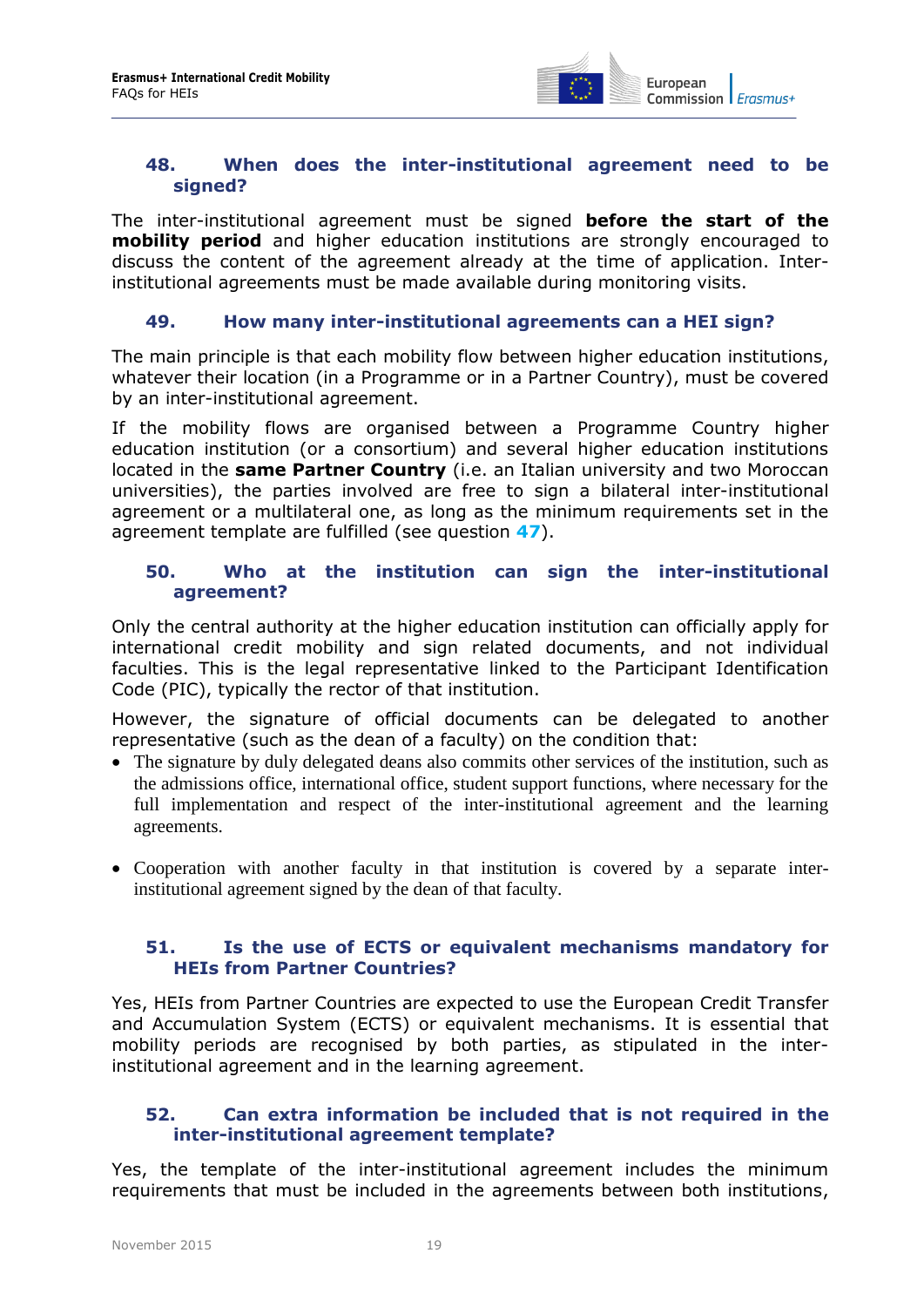

#### <span id="page-18-0"></span>**48. When does the inter-institutional agreement need to be signed?**

The inter-institutional agreement must be signed **before the start of the mobility period** and higher education institutions are strongly encouraged to discuss the content of the agreement already at the time of application. Interinstitutional agreements must be made available during monitoring visits.

#### <span id="page-18-1"></span>**49. How many inter-institutional agreements can a HEI sign?**

The main principle is that each mobility flow between higher education institutions, whatever their location (in a Programme or in a Partner Country), must be covered by an inter-institutional agreement.

If the mobility flows are organised between a Programme Country higher education institution (or a consortium) and several higher education institutions located in the **same Partner Country** (i.e. an Italian university and two Moroccan universities), the parties involved are free to sign a bilateral inter-institutional agreement or a multilateral one, as long as the minimum requirements set in the agreement template are fulfilled (see question **[47](#page-17-4)**).

#### <span id="page-18-2"></span>**50. Who at the institution can sign the inter-institutional agreement?**

Only the central authority at the higher education institution can officially apply for international credit mobility and sign related documents, and not individual faculties. This is the legal representative linked to the Participant Identification Code (PIC), typically the rector of that institution.

However, the signature of official documents can be delegated to another representative (such as the dean of a faculty) on the condition that:

- The signature by duly delegated deans also commits other services of the institution, such as the admissions office, international office, student support functions, where necessary for the full implementation and respect of the inter-institutional agreement and the learning agreements.
- Cooperation with another faculty in that institution is covered by a separate interinstitutional agreement signed by the dean of that faculty.

#### <span id="page-18-3"></span>**51. Is the use of ECTS or equivalent mechanisms mandatory for HEIs from Partner Countries?**

Yes, HEIs from Partner Countries are expected to use the European Credit Transfer and Accumulation System (ECTS) or equivalent mechanisms. It is essential that mobility periods are recognised by both parties, as stipulated in the interinstitutional agreement and in the learning agreement.

#### <span id="page-18-4"></span>**52. Can extra information be included that is not required in the inter-institutional agreement template?**

Yes, the template of the inter-institutional agreement includes the minimum requirements that must be included in the agreements between both institutions,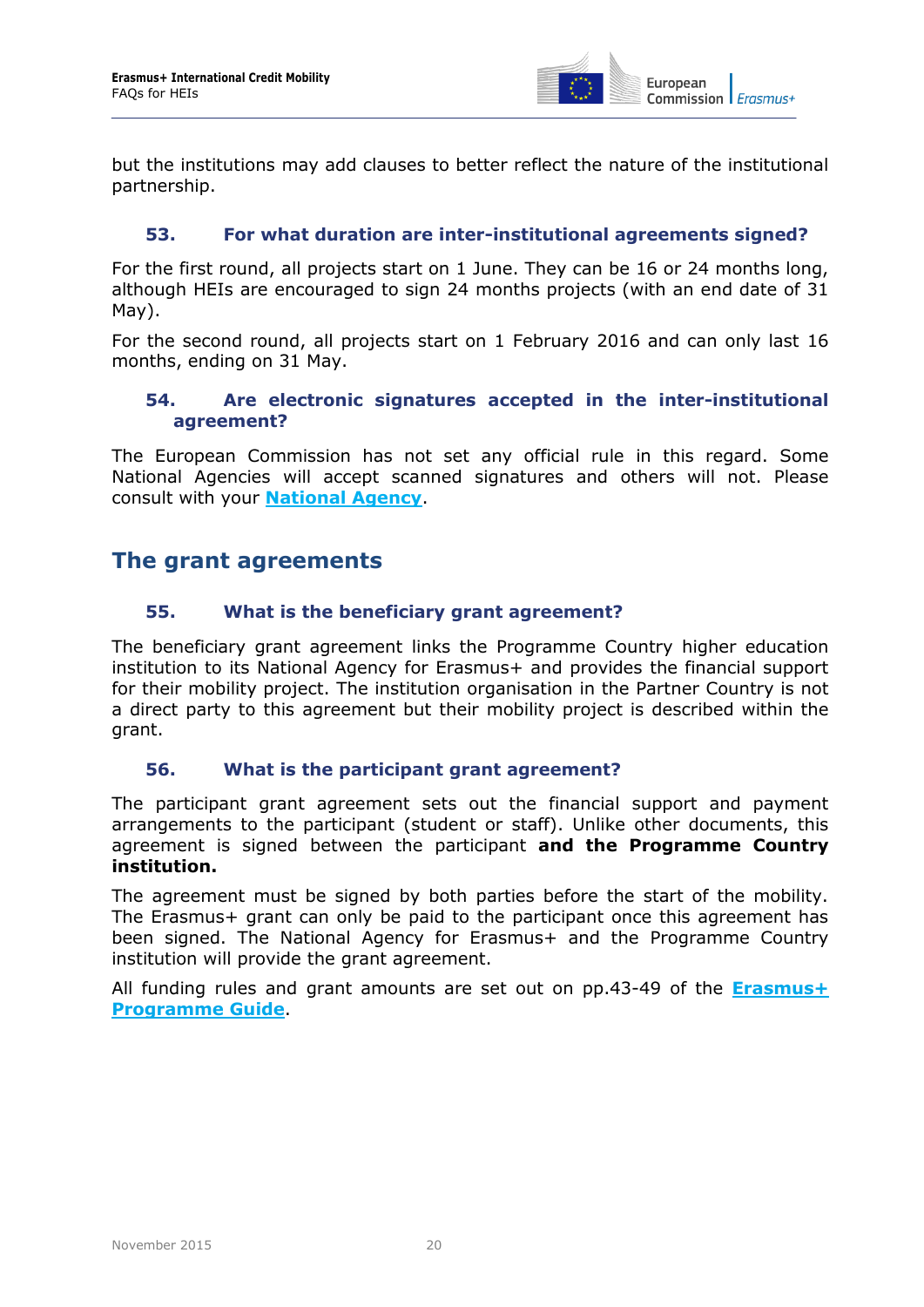

but the institutions may add clauses to better reflect the nature of the institutional partnership.

#### <span id="page-19-0"></span>**53. For what duration are inter-institutional agreements signed?**

For the first round, all projects start on 1 June. They can be 16 or 24 months long, although HEIs are encouraged to sign 24 months projects (with an end date of 31 May).

<span id="page-19-1"></span>For the second round, all projects start on 1 February 2016 and can only last 16 months, ending on 31 May.

#### **54. Are electronic signatures accepted in the inter-institutional agreement?**

The European Commission has not set any official rule in this regard. Some National Agencies will accept scanned signatures and others will not. Please consult with your **National Agency**.

### <span id="page-19-3"></span><span id="page-19-2"></span>**The grant agreements**

#### **55. What is the beneficiary grant agreement?**

The beneficiary grant agreement links the Programme Country higher education institution to its National Agency for Erasmus+ and provides the financial support for their mobility project. The institution organisation in the Partner Country is not a direct party to this agreement but their mobility project is described within the grant.

#### <span id="page-19-4"></span>**56. What is the participant grant agreement?**

The participant grant agreement sets out the financial support and payment arrangements to the participant (student or staff). Unlike other documents, this agreement is signed between the participant **and the Programme Country institution.** 

The agreement must be signed by both parties before the start of the mobility. The Erasmus+ grant can only be paid to the participant once this agreement has been signed. The National Agency for Erasmus+ and the Programme Country institution will provide the grant agreement.

All funding rules and grant amounts are set out on pp.43-49 of the **[Erasmus+](http://ec.europa.eu/programmes/erasmus-plus/documents/erasmus-plus-programme-guide_en.pdf)  [Programme](http://ec.europa.eu/programmes/erasmus-plus/documents/erasmus-plus-programme-guide_en.pdf) Guide**.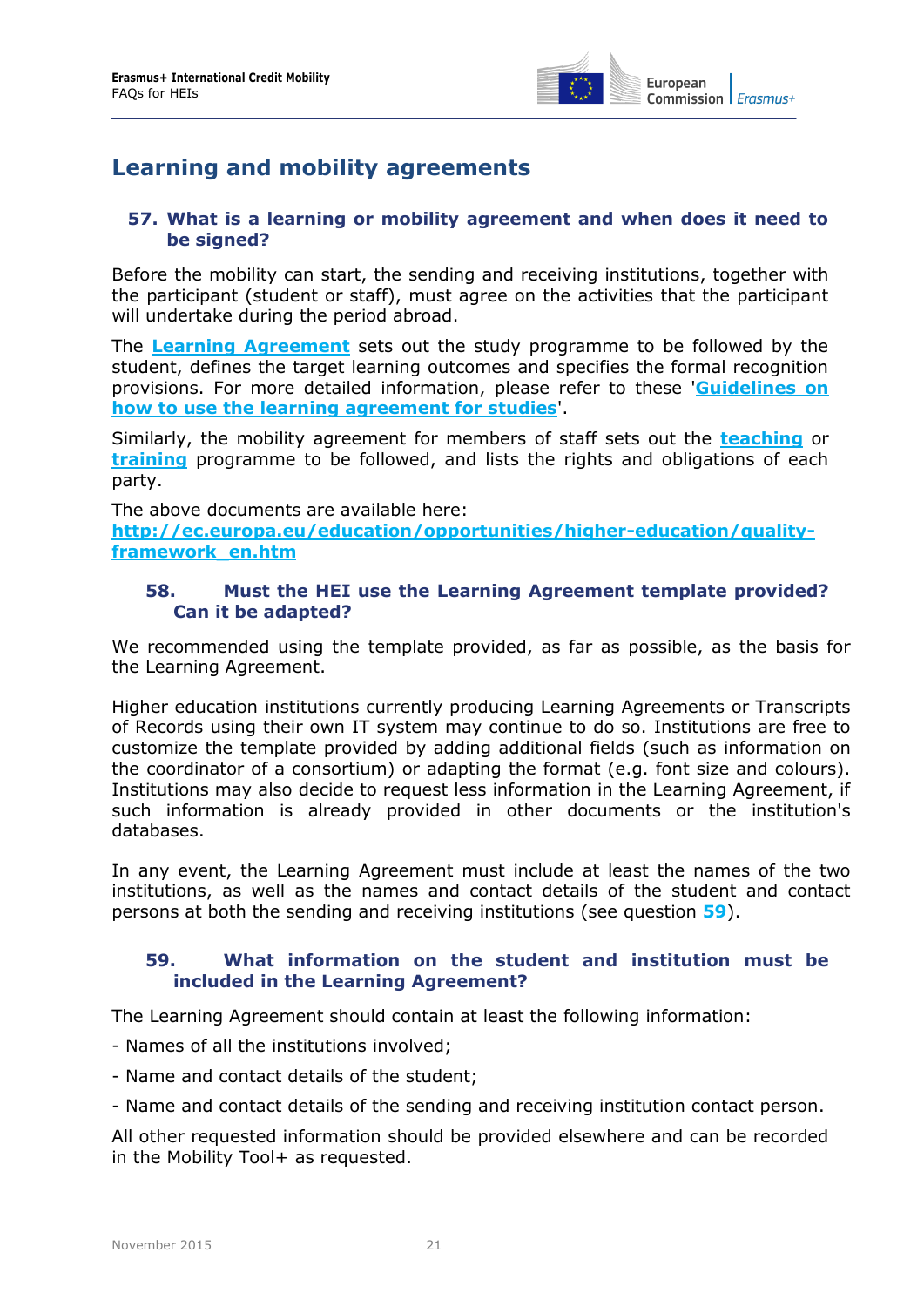

### <span id="page-20-0"></span>**Learning and mobility agreements**

#### <span id="page-20-1"></span>**57. What is a learning or mobility agreement and when does it need to be signed?**

Before the mobility can start, the sending and receiving institutions, together with the participant (student or staff), must agree on the activities that the participant will undertake during the period abroad.

The **[Learning Agreement](http://ec.europa.eu/education/opportunities/higher-education/doc/learning-studies_en.docx)** sets out the study programme to be followed by the student, defines the target learning outcomes and specifies the formal recognition provisions. For more detailed information, please refer to these '**[Guidelines on](http://ec.europa.eu/education/opportunities/higher-education/doc/learning-studies-guidelines_en.pdf)  [how to use the learning agreement for studies](http://ec.europa.eu/education/opportunities/higher-education/doc/learning-studies-guidelines_en.pdf)**'.

Similarly, the mobility agreement for members of staff sets out the **[teaching](http://ec.europa.eu/education/opportunities/higher-education/doc/mobility-agreement-teaching-2015_en.docx)** or **[training](http://ec.europa.eu/education/opportunities/higher-education/doc/mobility-agreement-training-2015_en.docx)** programme to be followed, and lists the rights and obligations of each party.

The above documents are available here: **http://ec.europa.eu/education/opportunities/higher-education/qualityframework\_en.htm**

#### <span id="page-20-2"></span>**58. Must the HEI use the Learning Agreement template provided? Can it be adapted?**

We recommended using the template provided, as far as possible, as the basis for the Learning Agreement.

Higher education institutions currently producing Learning Agreements or Transcripts of Records using their own IT system may continue to do so. Institutions are free to customize the template provided by adding additional fields (such as information on the coordinator of a consortium) or adapting the format (e.g. font size and colours). Institutions may also decide to request less information in the Learning Agreement, if such information is already provided in other documents or the institution's databases.

In any event, the Learning Agreement must include at least the names of the two institutions, as well as the names and contact details of the student and contact persons at both the sending and receiving institutions (see question **[59](#page-20-3)**).

#### <span id="page-20-3"></span>**59. What information on the student and institution must be included in the Learning Agreement?**

The Learning Agreement should contain at least the following information:

- Names of all the institutions involved;
- Name and contact details of the student;
- Name and contact details of the sending and receiving institution contact person.

All other requested information should be provided elsewhere and can be recorded in the Mobility Tool+ as requested.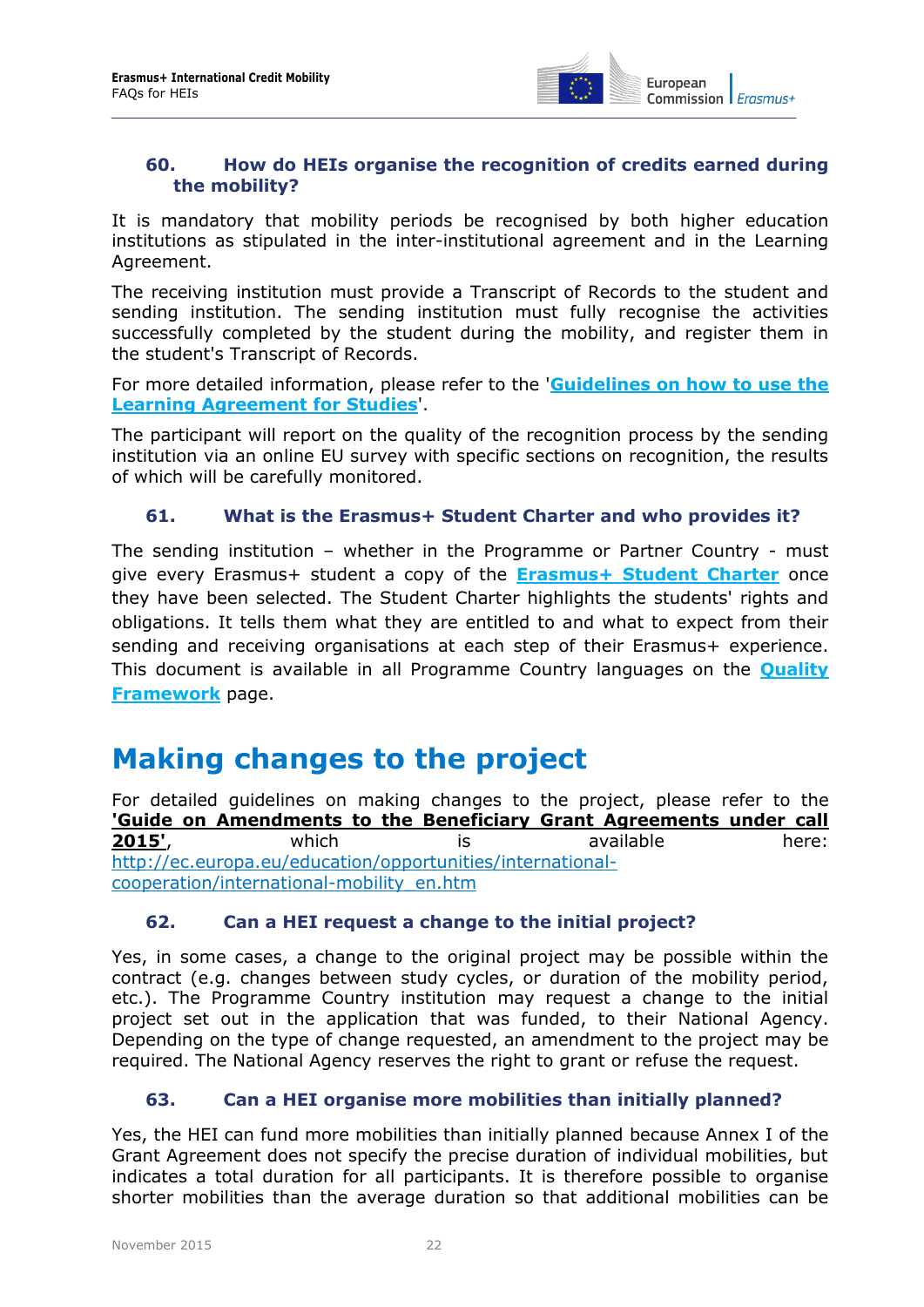

#### <span id="page-21-0"></span>**60. How do HEIs organise the recognition of credits earned during the mobility?**

It is mandatory that mobility periods be recognised by both higher education institutions as stipulated in the inter-institutional agreement and in the Learning Agreement.

The receiving institution must provide a Transcript of Records to the student and sending institution. The sending institution must fully recognise the activities successfully completed by the student during the mobility, and register them in the student's Transcript of Records.

For more detailed information, please refer to the '**[Guidelines on how to use the](http://ec.europa.eu/education/opportunities/higher-education/doc/learning-studies-guidelines_en.pdf)  [Learning Agreement for Studies](http://ec.europa.eu/education/opportunities/higher-education/doc/learning-studies-guidelines_en.pdf)**'.

The participant will report on the quality of the recognition process by the sending institution via an online EU survey with specific sections on recognition, the results of which will be carefully monitored.

#### <span id="page-21-1"></span>**61. What is the Erasmus+ Student Charter and who provides it?**

The sending institution – whether in the Programme or Partner Country - must give every Erasmus+ student a copy of the **[Erasmus+ Student Charter](http://ec.europa.eu/education/opportunities/higher-education/doc/charter_en.pdf)** once they have been selected. The Student Charter highlights the students' rights and obligations. It tells them what they are entitled to and what to expect from their sending and receiving organisations at each step of their Erasmus+ experience. This document is available in all Programme Country languages on the **[Quality](http://ec.europa.eu/education/opportunities/higher-education/quality-framework_en.htm)  [Framework](http://ec.europa.eu/education/opportunities/higher-education/quality-framework_en.htm)** page.

### <span id="page-21-2"></span>**Making changes to the project**

For detailed guidelines on making changes to the project, please refer to the **['Guide on Amendments to the Beneficiary Grant Agreements under call](http://ec.europa.eu/education/opportunities/international-cooperation/international-mobility_en.htm)  [2015'](http://ec.europa.eu/education/opportunities/international-cooperation/international-mobility_en.htm)**, which is available here: [http://ec.europa.eu/education/opportunities/international](http://ec.europa.eu/education/opportunities/international-cooperation/international-mobility_en.htm)[cooperation/international-mobility\\_en.htm](http://ec.europa.eu/education/opportunities/international-cooperation/international-mobility_en.htm)

#### <span id="page-21-3"></span>**62. Can a HEI request a change to the initial project?**

Yes, in some cases, a change to the original project may be possible within the contract (e.g. changes between study cycles, or duration of the mobility period, etc.). The Programme Country institution may request a change to the initial project set out in the application that was funded, to their National Agency. Depending on the type of change requested, an amendment to the project may be required. The National Agency reserves the right to grant or refuse the request.

#### <span id="page-21-4"></span>**63. Can a HEI organise more mobilities than initially planned?**

Yes, the HEI can fund more mobilities than initially planned because Annex I of the Grant Agreement does not specify the precise duration of individual mobilities, but indicates a total duration for all participants. It is therefore possible to organise shorter mobilities than the average duration so that additional mobilities can be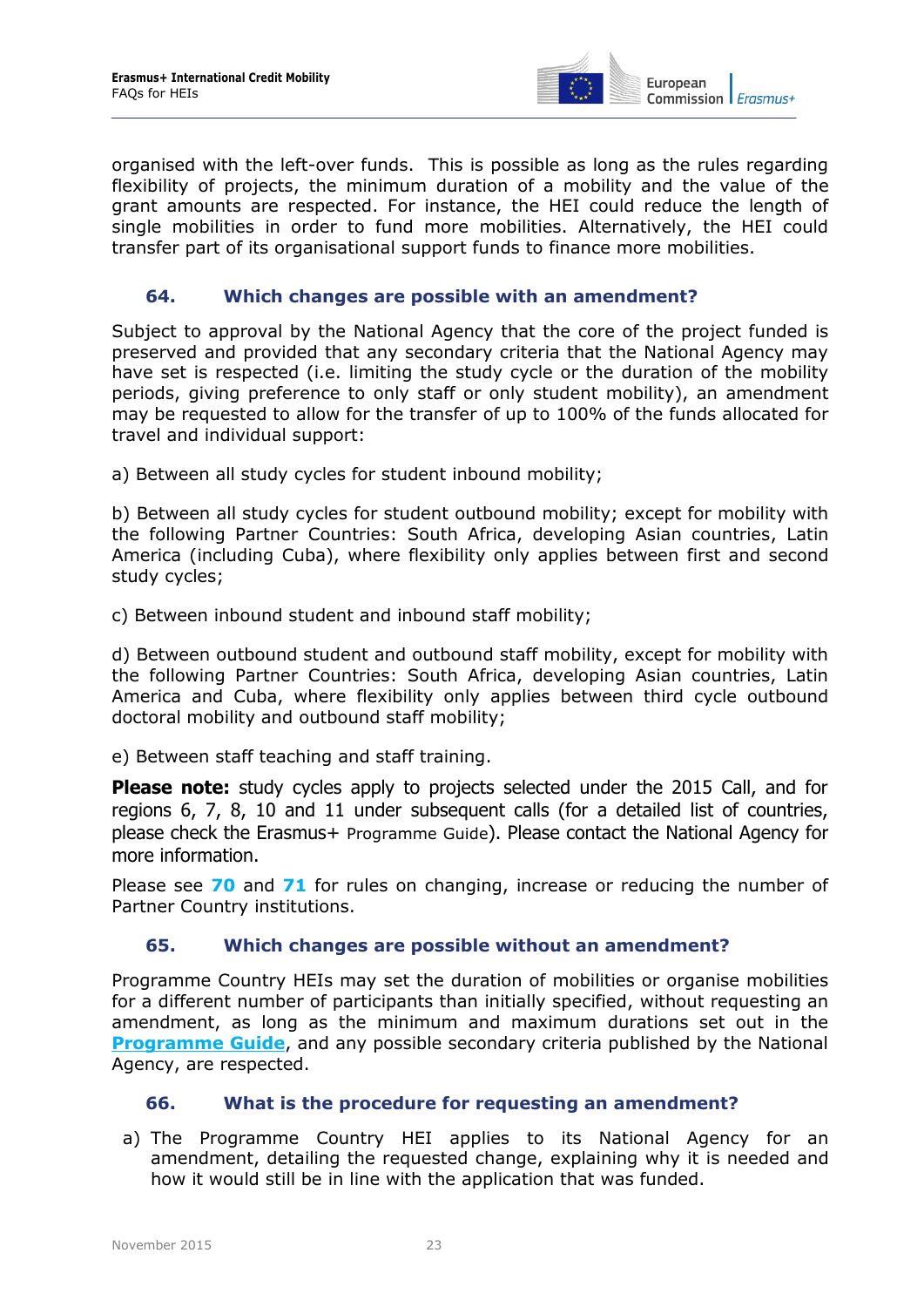

organised with the left-over funds. This is possible as long as the rules regarding flexibility of projects, the minimum duration of a mobility and the value of the grant amounts are respected. For instance, the HEI could reduce the length of single mobilities in order to fund more mobilities. Alternatively, the HEI could transfer part of its organisational support funds to finance more mobilities.

#### <span id="page-22-0"></span>**64. Which changes are possible with an amendment?**

Subject to approval by the National Agency that the core of the project funded is preserved and provided that any secondary criteria that the National Agency may have set is respected (i.e. limiting the study cycle or the duration of the mobility periods, giving preference to only staff or only student mobility), an amendment may be requested to allow for the transfer of up to 100% of the funds allocated for travel and individual support:

a) Between all study cycles for student inbound mobility;

b) Between all study cycles for student outbound mobility; except for mobility with the following Partner Countries: South Africa, developing Asian countries, Latin America (including Cuba), where flexibility only applies between first and second study cycles;

c) Between inbound student and inbound staff mobility;

d) Between outbound student and outbound staff mobility, except for mobility with the following Partner Countries: South Africa, developing Asian countries, Latin America and Cuba, where flexibility only applies between third cycle outbound doctoral mobility and outbound staff mobility;

e) Between staff teaching and staff training.

**Please note:** study cycles apply to projects selected under the 2015 Call, and for regions 6, 7, 8, 10 and 11 under subsequent calls (for a detailed list of countries, please check the Erasmus+ [Programme Guide](http://ec.europa.eu/programmes/erasmus-plus/discover/guide/index_en.htm)). Please contact the National Agency for more information.

Please see **[70](#page-23-3)** and **[71](#page-23-4)** for rules on changing, increase or reducing the number of Partner Country institutions.

#### <span id="page-22-1"></span>**65. Which changes are possible without an amendment?**

Programme Country HEIs may set the duration of mobilities or organise mobilities for a different number of participants than initially specified, without requesting an amendment, as long as the minimum and maximum durations set out in the **[Programme Guide](http://ec.europa.eu/programmes/erasmus-plus/discover/guide/index_en.htm)**, and any possible secondary criteria published by the National Agency, are respected.

#### <span id="page-22-2"></span>**66. What is the procedure for requesting an amendment?**

a) The Programme Country HEI applies to its National Agency for an amendment, detailing the requested change, explaining why it is needed and how it would still be in line with the application that was funded.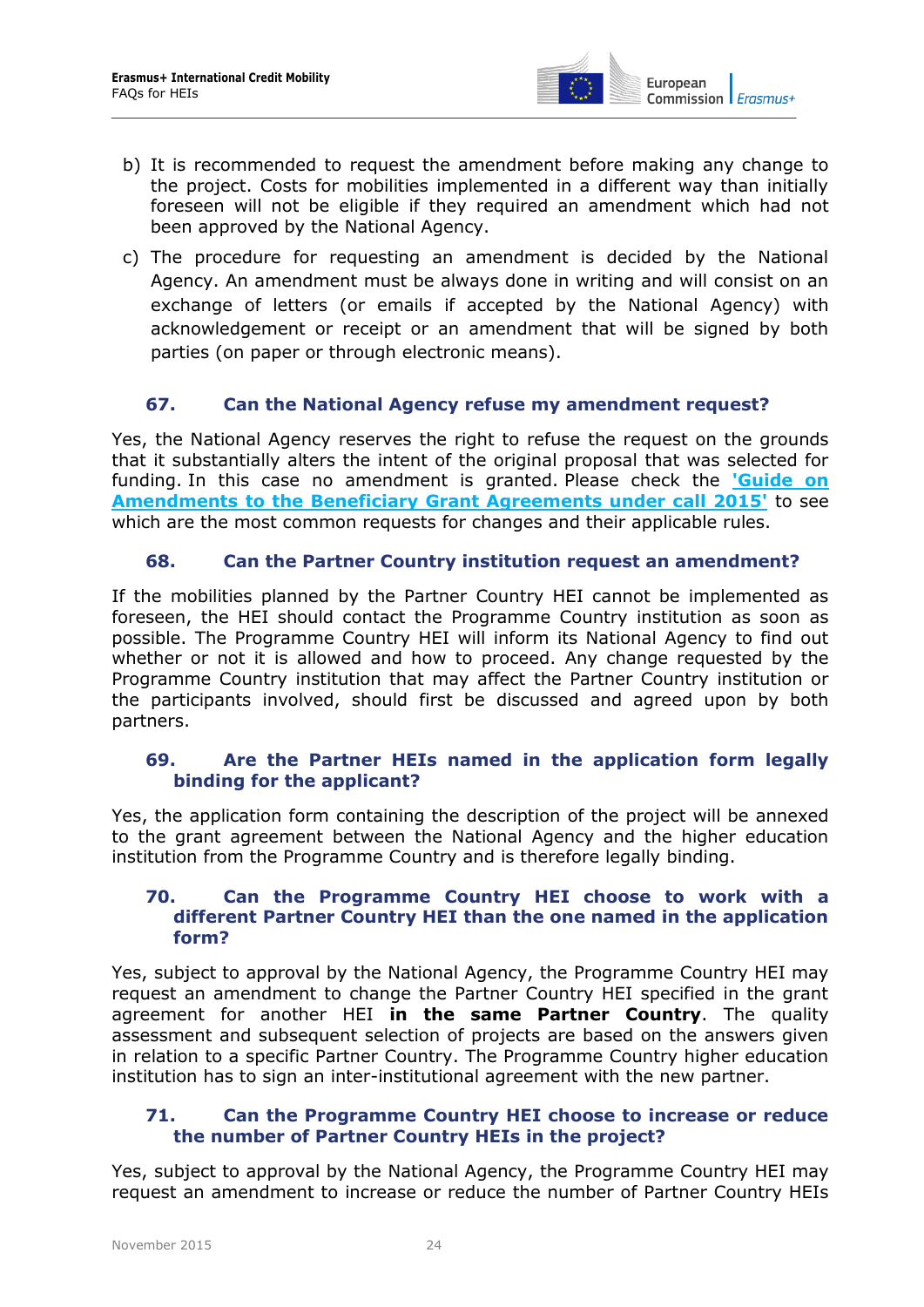

- b) It is recommended to request the amendment before making any change to the project. Costs for mobilities implemented in a different way than initially foreseen will not be eligible if they required an amendment which had not been approved by the National Agency.
- c) The procedure for requesting an amendment is decided by the National Agency. An amendment must be always done in writing and will consist on an exchange of letters (or emails if accepted by the National Agency) with acknowledgement or receipt or an amendment that will be signed by both parties (on paper or through electronic means).

#### <span id="page-23-0"></span>**67. Can the National Agency refuse my amendment request?**

Yes, the National Agency reserves the right to refuse the request on the grounds that it substantially alters the intent of the original proposal that was selected for funding. In this case no amendment is granted. Please check the **['Guide on](http://ec.europa.eu/education/opportunities/international-cooperation/international-mobility_en.htm)  [Amendments to the Beneficiary Grant Agreements under call 2015'](http://ec.europa.eu/education/opportunities/international-cooperation/international-mobility_en.htm)** to see which are the most common requests for changes and their applicable rules.

#### <span id="page-23-1"></span>**68. Can the Partner Country institution request an amendment?**

If the mobilities planned by the Partner Country HEI cannot be implemented as foreseen, the HEI should contact the Programme Country institution as soon as possible. The Programme Country HEI will inform its National Agency to find out whether or not it is allowed and how to proceed. Any change requested by the Programme Country institution that may affect the Partner Country institution or the participants involved, should first be discussed and agreed upon by both partners.

#### <span id="page-23-2"></span>**69. Are the Partner HEIs named in the application form legally binding for the applicant?**

Yes, the application form containing the description of the project will be annexed to the grant agreement between the National Agency and the higher education institution from the Programme Country and is therefore legally binding.

#### <span id="page-23-3"></span>**70. Can the Programme Country HEI choose to work with a different Partner Country HEI than the one named in the application form?**

Yes, subject to approval by the National Agency, the Programme Country HEI may request an amendment to change the Partner Country HEI specified in the grant agreement for another HEI **in the same Partner Country**. The quality assessment and subsequent selection of projects are based on the answers given in relation to a specific Partner Country. The Programme Country higher education institution has to sign an inter-institutional agreement with the new partner.

#### <span id="page-23-4"></span>**71. Can the Programme Country HEI choose to increase or reduce the number of Partner Country HEIs in the project?**

Yes, subject to approval by the National Agency, the Programme Country HEI may request an amendment to increase or reduce the number of Partner Country HEIs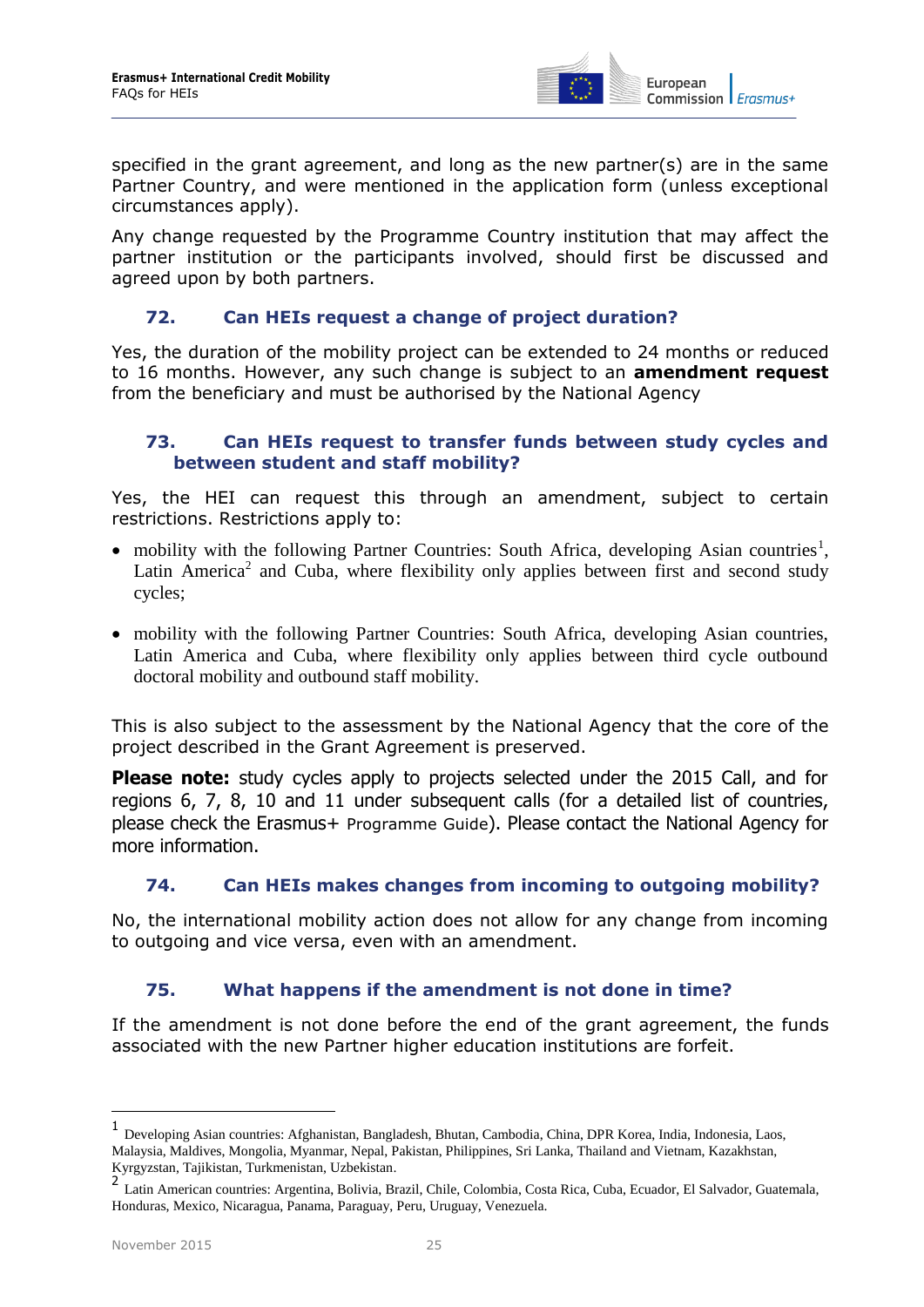

specified in the grant agreement, and long as the new partner(s) are in the same Partner Country, and were mentioned in the application form (unless exceptional circumstances apply).

Any change requested by the Programme Country institution that may affect the partner institution or the participants involved, should first be discussed and agreed upon by both partners.

#### <span id="page-24-0"></span>**72. Can HEIs request a change of project duration?**

Yes, the duration of the mobility project can be extended to 24 months or reduced to 16 months. However, any such change is subject to an **amendment request**  from the beneficiary and must be authorised by the National Agency

#### <span id="page-24-1"></span>**73. Can HEIs request to transfer funds between study cycles and between student and staff mobility?**

Yes, the HEI can request this through an amendment, subject to certain restrictions. Restrictions apply to:

- mobility with the following Partner Countries: South Africa, developing Asian countries<sup>1</sup>, Latin America<sup>2</sup> and Cuba, where flexibility only applies between first and second study cycles;
- mobility with the following Partner Countries: South Africa, developing Asian countries, Latin America and Cuba, where flexibility only applies between third cycle outbound doctoral mobility and outbound staff mobility.

This is also subject to the assessment by the National Agency that the core of the project described in the Grant Agreement is preserved.

**Please note:** study cycles apply to projects selected under the 2015 Call, and for regions 6, 7, 8, 10 and 11 under subsequent calls (for a detailed list of countries, please check the Erasmus+ [Programme Guide](http://ec.europa.eu/programmes/erasmus-plus/discover/guide/index_en.htm)). Please contact the National Agency for more information.

#### <span id="page-24-2"></span>**74. Can HEIs makes changes from incoming to outgoing mobility?**

No, the international mobility action does not allow for any change from incoming to outgoing and vice versa, even with an amendment.

#### <span id="page-24-3"></span>**75. What happens if the amendment is not done in time?**

If the amendment is not done before the end of the grant agreement, the funds associated with the new Partner higher education institutions are forfeit.

-

<sup>1</sup> Developing Asian countries: Afghanistan, Bangladesh, Bhutan, Cambodia, China, DPR Korea, India, Indonesia, Laos, Malaysia, Maldives, Mongolia, Myanmar, Nepal, Pakistan, Philippines, Sri Lanka, Thailand and Vietnam, Kazakhstan, Kyrgyzstan, Tajikistan, Turkmenistan, Uzbekistan.

<sup>2</sup> Latin American countries: Argentina, Bolivia, Brazil, Chile, Colombia, Costa Rica, Cuba, Ecuador, El Salvador, Guatemala, Honduras, Mexico, Nicaragua, Panama, Paraguay, Peru, Uruguay, Venezuela.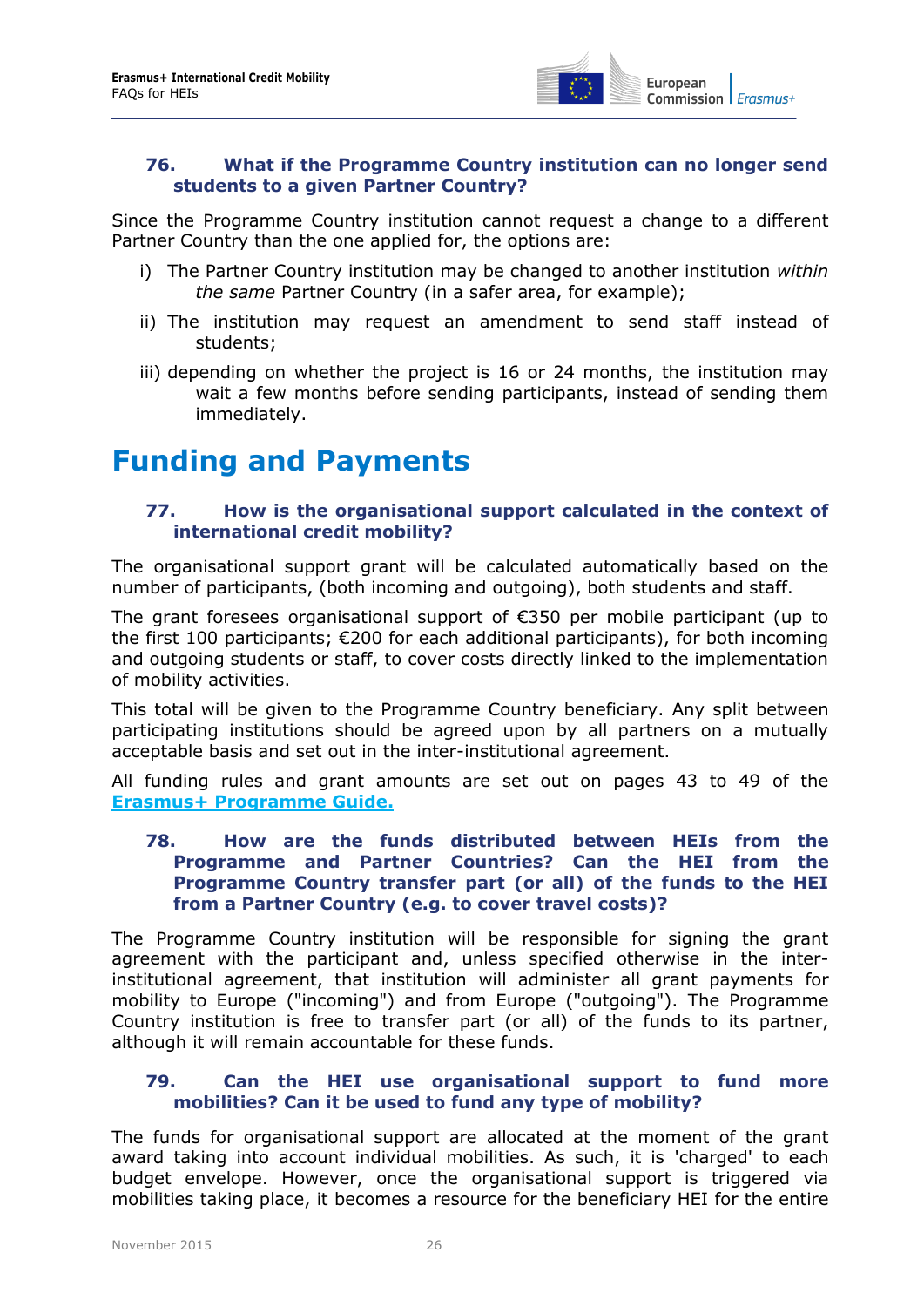

#### <span id="page-25-0"></span>**76. What if the Programme Country institution can no longer send students to a given Partner Country?**

Since the Programme Country institution cannot request a change to a different Partner Country than the one applied for, the options are:

- i) The Partner Country institution may be changed to another institution *within the same* Partner Country (in a safer area, for example);
- ii) The institution may request an amendment to send staff instead of students;
- iii) depending on whether the project is 16 or 24 months, the institution may wait a few months before sending participants, instead of sending them immediately.

### <span id="page-25-2"></span><span id="page-25-1"></span>**Funding and Payments**

#### **77. How is the organisational support calculated in the context of international credit mobility?**

The organisational support grant will be calculated automatically based on the number of participants, (both incoming and outgoing), both students and staff.

The grant foresees organisational support of €350 per mobile participant (up to the first 100 participants; €200 for each additional participants), for both incoming and outgoing students or staff, to cover costs directly linked to the implementation of mobility activities.

This total will be given to the Programme Country beneficiary. Any split between participating institutions should be agreed upon by all partners on a mutually acceptable basis and set out in the inter-institutional agreement.

<span id="page-25-3"></span>All funding rules and grant amounts are set out on pages 43 to 49 of the **[Erasmus+ Programme Guide.](http://ec.europa.eu/programmes/erasmus-plus/documents/erasmus-plus-programme-guide_en.pdf)**

#### **78. How are the funds distributed between HEIs from the Programme and Partner Countries? Can the HEI from the Programme Country transfer part (or all) of the funds to the HEI from a Partner Country (e.g. to cover travel costs)?**

The Programme Country institution will be responsible for signing the grant agreement with the participant and, unless specified otherwise in the interinstitutional agreement, that institution will administer all grant payments for mobility to Europe ("incoming") and from Europe ("outgoing"). The Programme Country institution is free to transfer part (or all) of the funds to its partner, although it will remain accountable for these funds.

#### <span id="page-25-4"></span>**79. Can the HEI use organisational support to fund more mobilities? Can it be used to fund any type of mobility?**

The funds for organisational support are allocated at the moment of the grant award taking into account individual mobilities. As such, it is 'charged' to each budget envelope. However, once the organisational support is triggered via mobilities taking place, it becomes a resource for the beneficiary HEI for the entire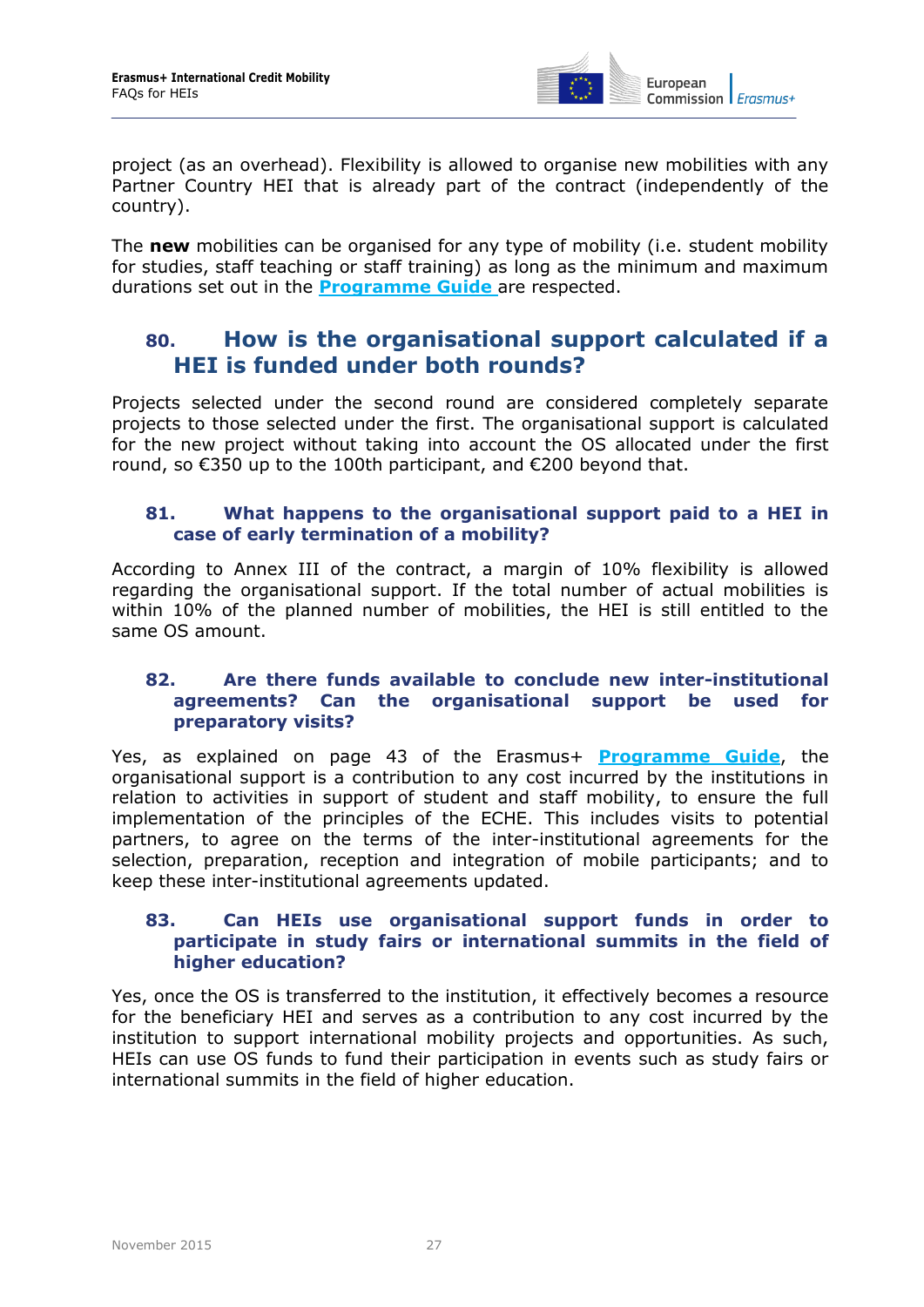

project (as an overhead). Flexibility is allowed to organise new mobilities with any Partner Country HEI that is already part of the contract (independently of the country).

The **new** mobilities can be organised for any type of mobility (i.e. student mobility for studies, staff teaching or staff training) as long as the minimum and maximum durations set out in the **[Programme Guide](http://ec.europa.eu/programmes/erasmus-plus/discover/guide/index_en.htm)** are respected.

### <span id="page-26-0"></span>**80. [How is the organisational support calculated if a](https://webgate.ec.europa.eu/imt/browse/NACO-35)  [HEI is funded](https://webgate.ec.europa.eu/imt/browse/NACO-35) under both rounds?**

Projects selected under the second round are considered completely separate projects to those selected under the first. The organisational support is calculated for the new project without taking into account the OS allocated under the first round, so €350 up to the 100th participant, and €200 beyond that.

#### <span id="page-26-1"></span>**81. What happens to the organisational support paid to a HEI in case of early termination of a mobility?**

According to Annex III of the contract, a margin of 10% flexibility is allowed regarding the organisational support. If the total number of actual mobilities is within 10% of the planned number of mobilities, the HEI is still entitled to the same OS amount.

#### <span id="page-26-2"></span>**82. Are there funds available to conclude new inter-institutional agreements? Can the organisational support be used for preparatory visits?**

Yes, as explained on page 43 of the Erasmus+ **[Programme Guide](http://ec.europa.eu/programmes/erasmus-plus/discover/guide/index_en.htm)**, the organisational support is a contribution to any cost incurred by the institutions in relation to activities in support of student and staff mobility, to ensure the full implementation of the principles of the ECHE. This includes visits to potential partners, to agree on the terms of the inter-institutional agreements for the selection, preparation, reception and integration of mobile participants; and to keep these inter-institutional agreements updated.

#### <span id="page-26-3"></span>**83. Can HEIs use organisational support funds in order to participate in study fairs or international summits in the field of higher education?**

Yes, once the OS is transferred to the institution, it effectively becomes a resource for the beneficiary HEI and serves as a contribution to any cost incurred by the institution to support international mobility projects and opportunities. As such, HEIs can use OS funds to fund their participation in events such as study fairs or international summits in the field of higher education.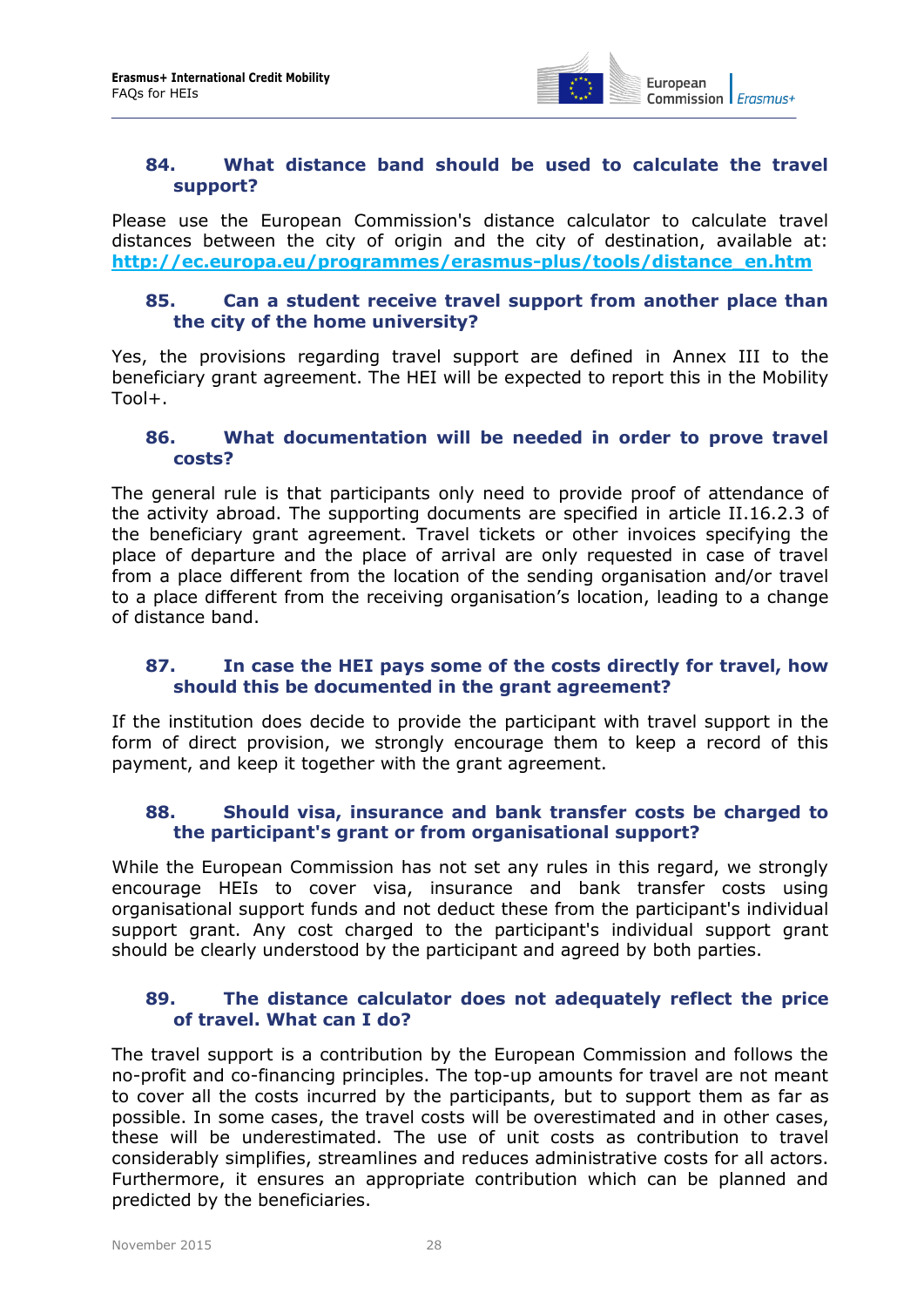

#### <span id="page-27-0"></span>**84. What distance band should be used to calculate the travel support?**

Please use the European Commission's distance calculator to calculate travel distances between the city of origin and the city of destination, available at: **[http://ec.europa.eu/programmes/erasmus-plus/tools/distance\\_en.htm](http://ec.europa.eu/programmes/erasmus-plus/tools/distance_en.htm)**

#### <span id="page-27-1"></span>**85. Can a student receive travel support from another place than the city of the home university?**

Yes, the provisions regarding travel support are defined in Annex III to the beneficiary grant agreement. The HEI will be expected to report this in the Mobility Tool+.

#### <span id="page-27-2"></span>**86. What documentation will be needed in order to prove travel costs?**

The general rule is that participants only need to provide proof of attendance of the activity abroad. The supporting documents are specified in article II.16.2.3 of the beneficiary grant agreement. Travel tickets or other invoices specifying the place of departure and the place of arrival are only requested in case of travel from a place different from the location of the sending organisation and/or travel to a place different from the receiving organisation's location, leading to a change of distance band.

#### <span id="page-27-3"></span>**87. In case the HEI pays some of the costs directly for travel, how should this be documented in the grant agreement?**

If the institution does decide to provide the participant with travel support in the form of direct provision, we strongly encourage them to keep a record of this payment, and keep it together with the grant agreement.

#### <span id="page-27-4"></span>**88. Should visa, insurance and bank transfer costs be charged to the participant's grant or from organisational support?**

While the European Commission has not set any rules in this regard, we strongly encourage HEIs to cover visa, insurance and bank transfer costs using organisational support funds and not deduct these from the participant's individual support grant. Any cost charged to the participant's individual support grant should be clearly understood by the participant and agreed by both parties.

#### <span id="page-27-5"></span>**89. The distance calculator does not adequately reflect the price of travel. What can I do?**

The travel support is a contribution by the European Commission and follows the no-profit and co-financing principles. The top-up amounts for travel are not meant to cover all the costs incurred by the participants, but to support them as far as possible. In some cases, the travel costs will be overestimated and in other cases, these will be underestimated. The use of unit costs as contribution to travel considerably simplifies, streamlines and reduces administrative costs for all actors. Furthermore, it ensures an appropriate contribution which can be planned and predicted by the beneficiaries.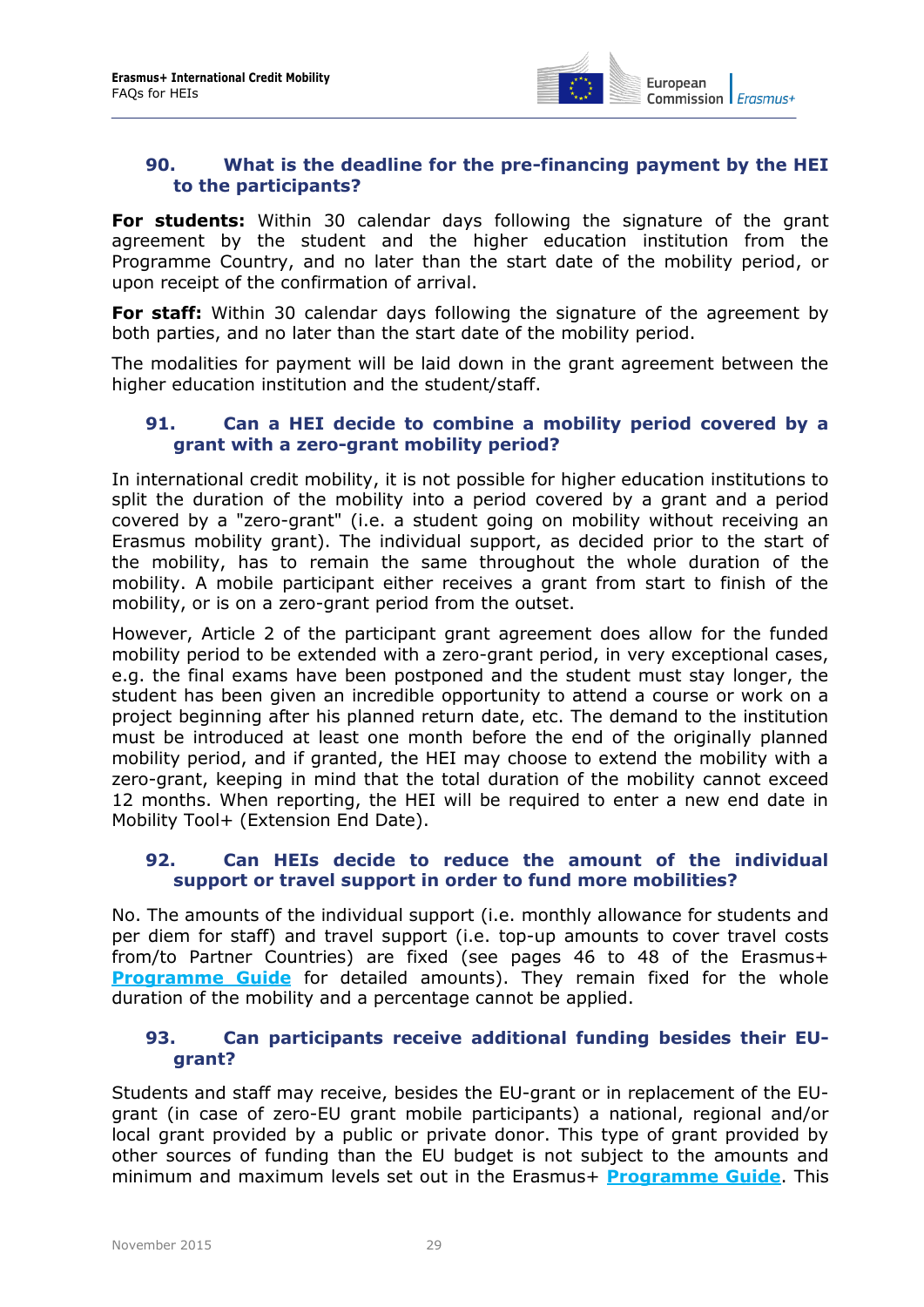

#### <span id="page-28-0"></span>**90. What is the deadline for the pre-financing payment by the HEI to the participants?**

**For students:** Within 30 calendar days following the signature of the grant agreement by the student and the higher education institution from the Programme Country, and no later than the start date of the mobility period, or upon receipt of the confirmation of arrival.

**For staff:** Within 30 calendar days following the signature of the agreement by both parties, and no later than the start date of the mobility period.

The modalities for payment will be laid down in the grant agreement between the higher education institution and the student/staff.

#### <span id="page-28-1"></span>**91. Can a HEI decide to combine a mobility period covered by a grant with a zero-grant mobility period?**

In international credit mobility, it is not possible for higher education institutions to split the duration of the mobility into a period covered by a grant and a period covered by a "zero-grant" (i.e. a student going on mobility without receiving an Erasmus mobility grant). The individual support, as decided prior to the start of the mobility, has to remain the same throughout the whole duration of the mobility. A mobile participant either receives a grant from start to finish of the mobility, or is on a zero-grant period from the outset.

However, Article 2 of the participant grant agreement does allow for the funded mobility period to be extended with a zero-grant period, in very exceptional cases, e.g. the final exams have been postponed and the student must stay longer, the student has been given an incredible opportunity to attend a course or work on a project beginning after his planned return date, etc. The demand to the institution must be introduced at least one month before the end of the originally planned mobility period, and if granted, the HEI may choose to extend the mobility with a zero-grant, keeping in mind that the total duration of the mobility cannot exceed 12 months. When reporting, the HEI will be required to enter a new end date in Mobility Tool+ (Extension End Date).

#### <span id="page-28-2"></span>**92. Can HEIs decide to reduce the amount of the individual support or travel support in order to fund more mobilities?**

No. The amounts of the individual support (i.e. monthly allowance for students and per diem for staff) and travel support (i.e. top-up amounts to cover travel costs from/to Partner Countries) are fixed (see pages 46 to 48 of the Erasmus+ **[Programme Guide](http://ec.europa.eu/programmes/erasmus-plus/discover/guide/index_en.htm)** for detailed amounts). They remain fixed for the whole duration of the mobility and a percentage cannot be applied.

#### <span id="page-28-3"></span>**93. Can participants receive additional funding besides their EUgrant?**

Students and staff may receive, besides the EU-grant or in replacement of the EUgrant (in case of zero-EU grant mobile participants) a national, regional and/or local grant provided by a public or private donor. This type of grant provided by other sources of funding than the EU budget is not subject to the amounts and minimum and maximum levels set out in the Erasmus+ **[Programme Guide](http://ec.europa.eu/programmes/erasmus-plus/discover/guide/index_en.htm)**. This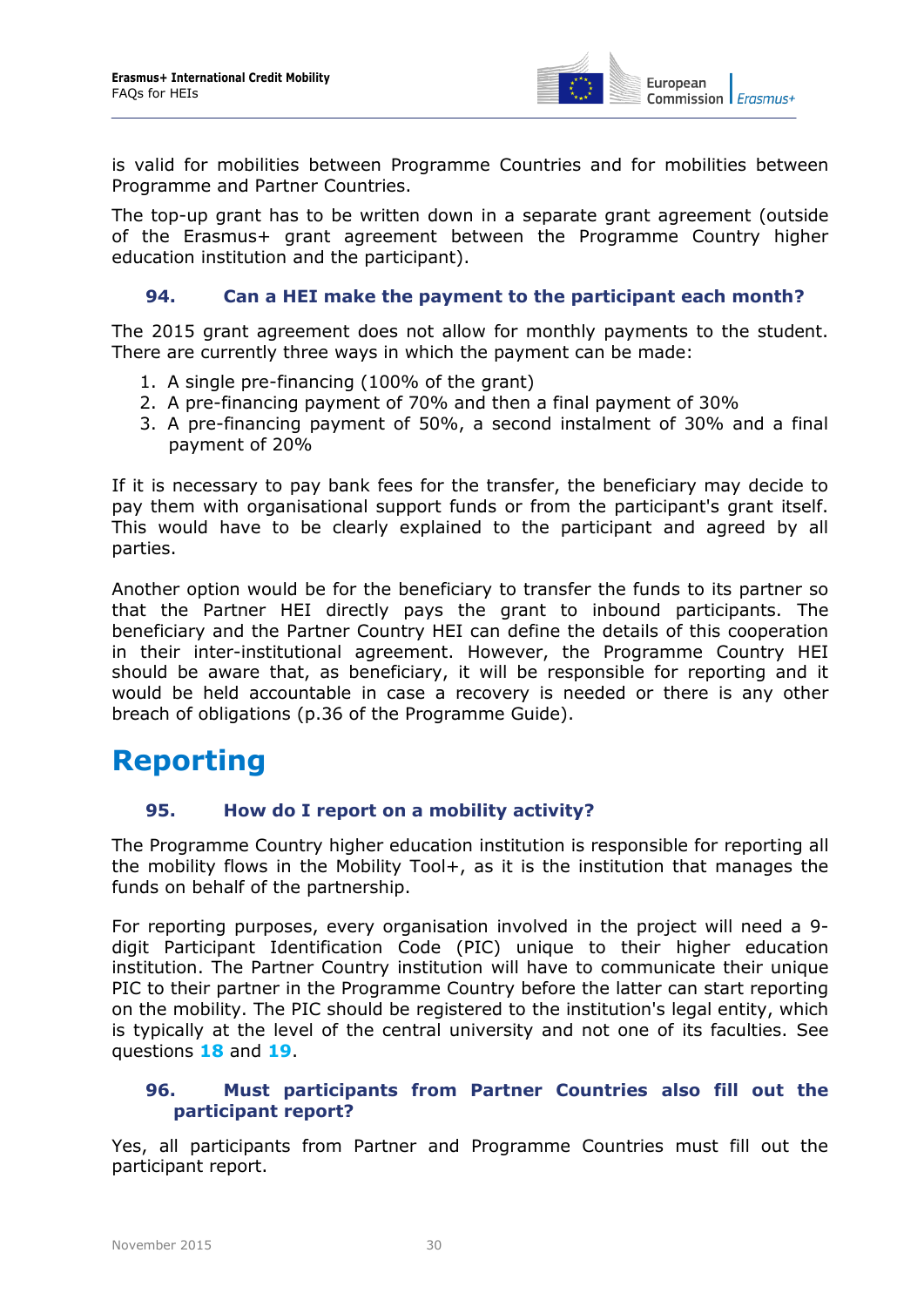

is valid for mobilities between Programme Countries and for mobilities between Programme and Partner Countries.

The top-up grant has to be written down in a separate grant agreement (outside of the Erasmus+ grant agreement between the Programme Country higher education institution and the participant).

#### <span id="page-29-0"></span>**94. Can a HEI make the payment to the participant each month?**

The 2015 grant agreement does not allow for monthly payments to the student. There are currently three ways in which the payment can be made:

- 1. A single pre-financing (100% of the grant)
- 2. A pre-financing payment of 70% and then a final payment of 30%
- 3. A pre-financing payment of 50%, a second instalment of 30% and a final payment of 20%

If it is necessary to pay bank fees for the transfer, the beneficiary may decide to pay them with organisational support funds or from the participant's grant itself. This would have to be clearly explained to the participant and agreed by all parties.

Another option would be for the beneficiary to transfer the funds to its partner so that the Partner HEI directly pays the grant to inbound participants. The beneficiary and the Partner Country HEI can define the details of this cooperation in their inter-institutional agreement. However, the Programme Country HEI should be aware that, as beneficiary, it will be responsible for reporting and it would be held accountable in case a recovery is needed or there is any other breach of obligations (p.36 of the Programme Guide).

### <span id="page-29-2"></span><span id="page-29-1"></span>**Reporting**

#### **95. How do I report on a mobility activity?**

The Programme Country higher education institution is responsible for reporting all the mobility flows in the Mobility Tool+, as it is the institution that manages the funds on behalf of the partnership.

For reporting purposes, every organisation involved in the project will need a 9 digit Participant Identification Code (PIC) unique to their higher education institution. The Partner Country institution will have to communicate their unique PIC to their partner in the Programme Country before the latter can start reporting on the mobility. The PIC should be registered to the institution's legal entity, which is typically at the level of the central university and not one of its faculties. See questions **[18](#page-11-1)** and **[19](#page-11-2)**.

#### <span id="page-29-3"></span>**96. Must participants from Partner Countries also fill out the participant report?**

Yes, all participants from Partner and Programme Countries must fill out the participant report.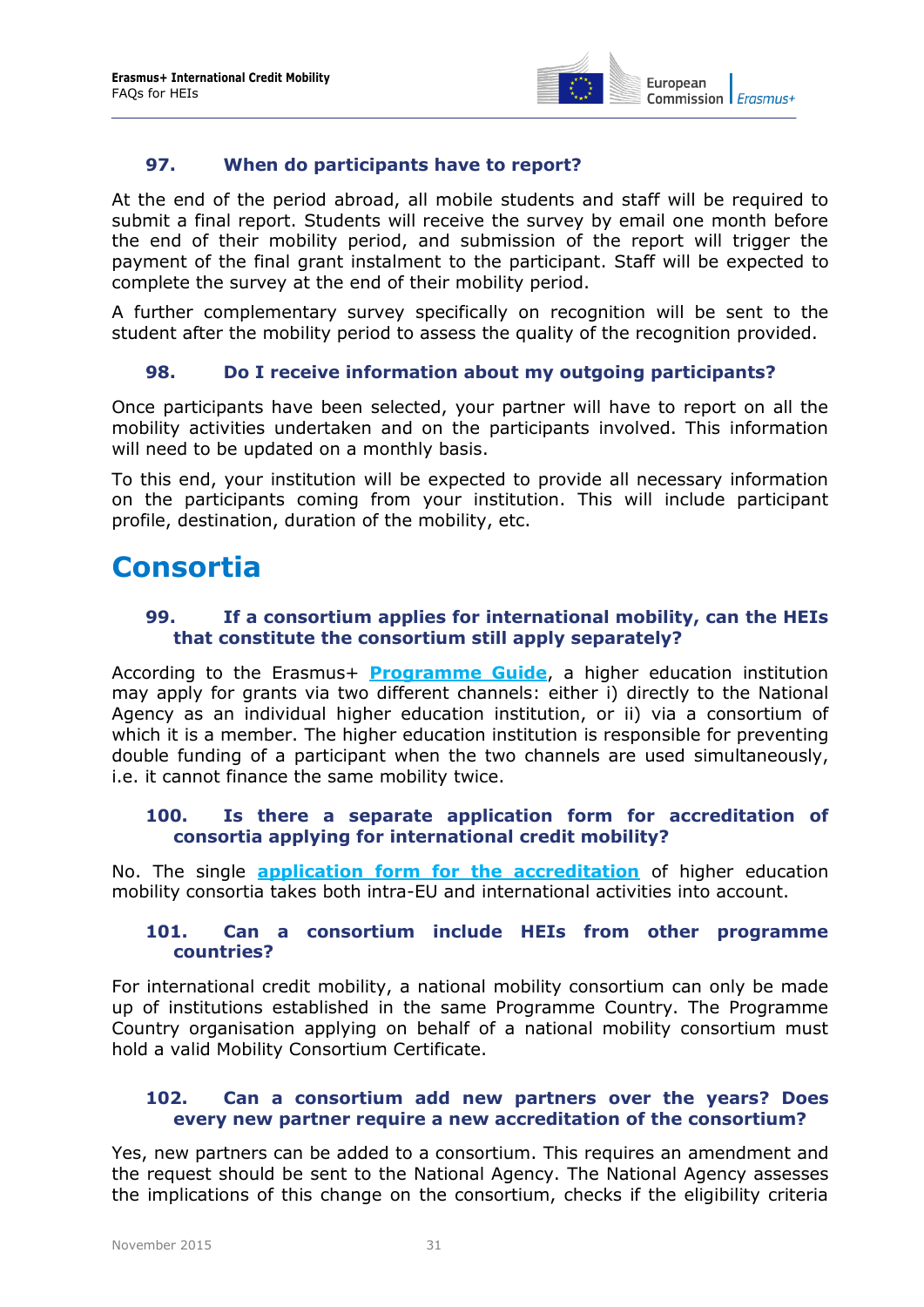

#### **97. When do participants have to report?**

<span id="page-30-0"></span>At the end of the period abroad, all mobile students and staff will be required to submit a final report. Students will receive the survey by email one month before the end of their mobility period, and submission of the report will trigger the payment of the final grant instalment to the participant. Staff will be expected to complete the survey at the end of their mobility period.

<span id="page-30-1"></span>A further complementary survey specifically on recognition will be sent to the student after the mobility period to assess the quality of the recognition provided.

#### **98. Do I receive information about my outgoing participants?**

Once participants have been selected, your partner will have to report on all the mobility activities undertaken and on the participants involved. This information will need to be updated on a monthly basis.

To this end, your institution will be expected to provide all necessary information on the participants coming from your institution. This will include participant profile, destination, duration of the mobility, etc.

### <span id="page-30-3"></span><span id="page-30-2"></span>**Consortia**

#### **99. If a consortium applies for international mobility, can the HEIs that constitute the consortium still apply separately?**

According to the Erasmus+ **[Programme Guide](http://ec.europa.eu/programmes/erasmus-plus/discover/guide/index_en.htm)**, a higher education institution may apply for grants via two different channels: either i) directly to the National Agency as an individual higher education institution, or ii) via a consortium of which it is a member. The higher education institution is responsible for preventing double funding of a participant when the two channels are used simultaneously, i.e. it cannot finance the same mobility twice.

#### <span id="page-30-4"></span>**100. Is there a separate application form for accreditation of consortia applying for international credit mobility?**

<span id="page-30-5"></span>No. The single **[application form for the accreditation](http://ec.europa.eu/programmes/erasmus-plus/discover/guide/2015/documents/accreditation-higher-education-mobility_en.pdf)** of higher education mobility consortia takes both intra-EU and international activities into account.

#### **101. Can a consortium include HEIs from other programme countries?**

For international credit mobility, a national mobility consortium can only be made up of institutions established in the same Programme Country. The Programme Country organisation applying on behalf of a national mobility consortium must hold a valid Mobility Consortium Certificate.

#### <span id="page-30-6"></span>**102. Can a consortium add new partners over the years? Does every new partner require a new accreditation of the consortium?**

Yes, new partners can be added to a consortium. This requires an amendment and the request should be sent to the National Agency. The National Agency assesses the implications of this change on the consortium, checks if the eligibility criteria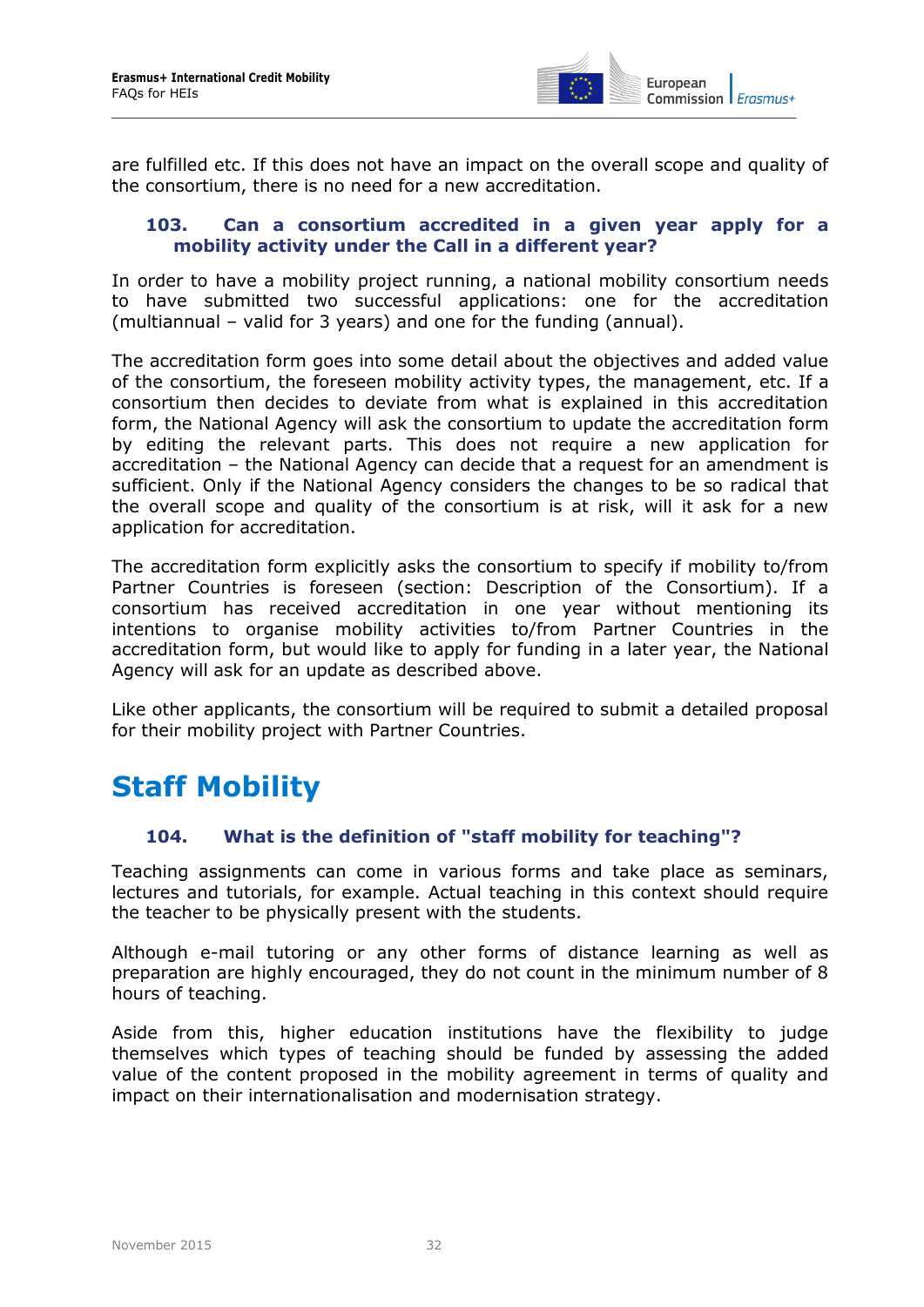

are fulfilled etc. If this does not have an impact on the overall scope and quality of the consortium, there is no need for a new accreditation.

#### <span id="page-31-0"></span>**103. Can a consortium accredited in a given year apply for a mobility activity under the Call in a different year?**

In order to have a mobility project running, a national mobility consortium needs to have submitted two successful applications: one for the accreditation (multiannual – valid for 3 years) and one for the funding (annual).

The accreditation form goes into some detail about the objectives and added value of the consortium, the foreseen mobility activity types, the management, etc. If a consortium then decides to deviate from what is explained in this accreditation form, the National Agency will ask the consortium to update the accreditation form by editing the relevant parts. This does not require a new application for accreditation – the National Agency can decide that a request for an amendment is sufficient. Only if the National Agency considers the changes to be so radical that the overall scope and quality of the consortium is at risk, will it ask for a new application for accreditation.

The accreditation form explicitly asks the consortium to specify if mobility to/from Partner Countries is foreseen (section: Description of the Consortium). If a consortium has received accreditation in one year without mentioning its intentions to organise mobility activities to/from Partner Countries in the accreditation form, but would like to apply for funding in a later year, the National Agency will ask for an update as described above.

Like other applicants, the consortium will be required to submit a detailed proposal for their mobility project with Partner Countries.

# <span id="page-31-2"></span><span id="page-31-1"></span>**Staff Mobility**

#### **104. What is the definition of "staff mobility for teaching"?**

Teaching assignments can come in various forms and take place as seminars, lectures and tutorials, for example. Actual teaching in this context should require the teacher to be physically present with the students.

Although e-mail tutoring or any other forms of distance learning as well as preparation are highly encouraged, they do not count in the minimum number of 8 hours of teaching.

Aside from this, higher education institutions have the flexibility to judge themselves which types of teaching should be funded by assessing the added value of the content proposed in the mobility agreement in terms of quality and impact on their internationalisation and modernisation strategy.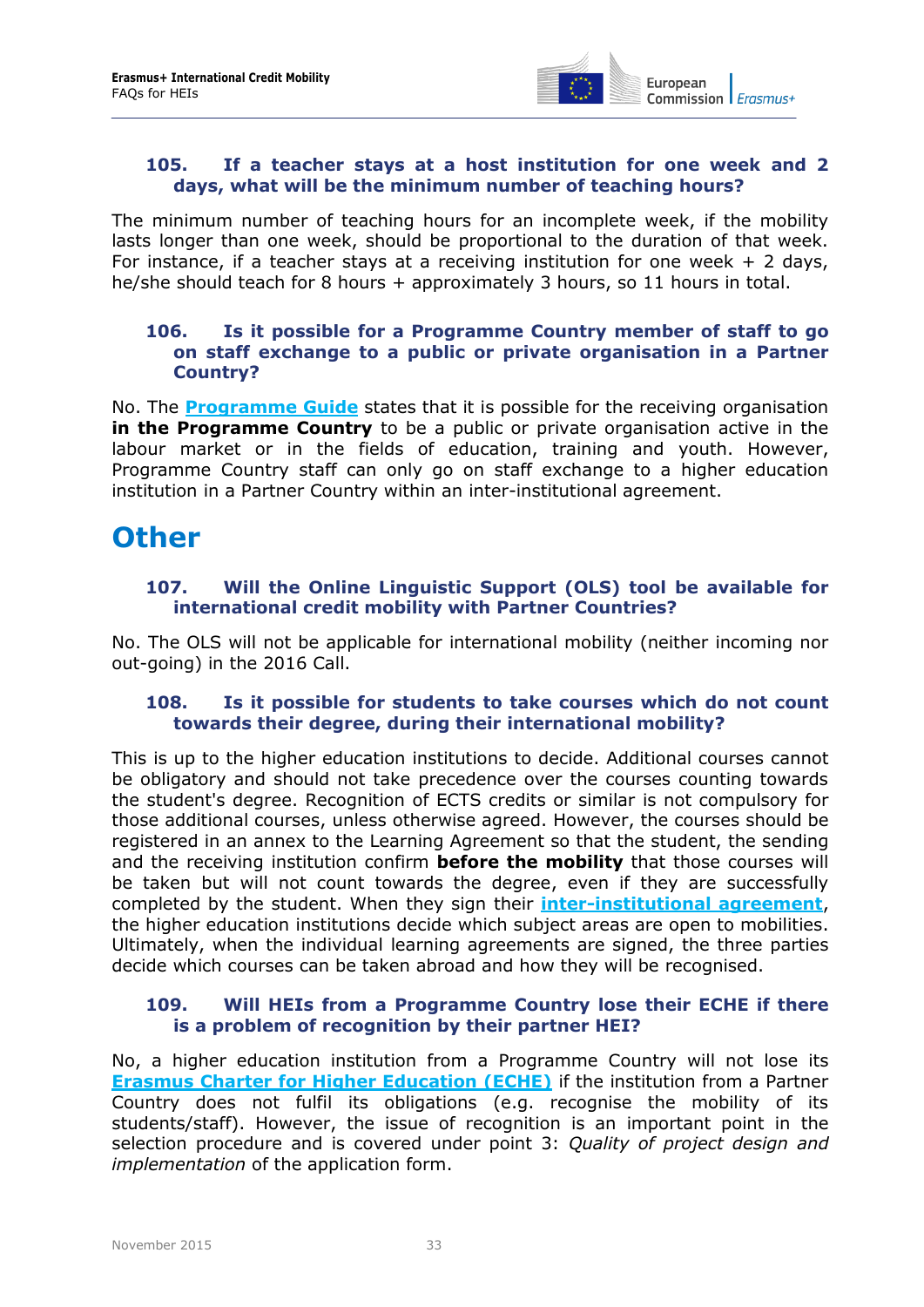

#### <span id="page-32-0"></span>**105. If a teacher stays at a host institution for one week and 2 days, what will be the minimum number of teaching hours?**

The minimum number of teaching hours for an incomplete week, if the mobility lasts longer than one week, should be proportional to the duration of that week. For instance, if a teacher stays at a receiving institution for one week  $+2$  days, he/she should teach for 8 hours + approximately 3 hours, so 11 hours in total.

#### <span id="page-32-1"></span>**106. Is it possible for a Programme Country member of staff to go on staff exchange to a public or private organisation in a Partner Country?**

No. The **[Programme Guide](http://ec.europa.eu/programmes/erasmus-plus/discover/guide/index_en.htm)** states that it is possible for the receiving organisation **in the Programme Country** to be a public or private organisation active in the labour market or in the fields of education, training and youth. However, Programme Country staff can only go on staff exchange to a higher education institution in a Partner Country within an inter-institutional agreement.

### <span id="page-32-3"></span><span id="page-32-2"></span>**Other**

#### **107. Will the Online Linguistic Support (OLS) tool be available for international credit mobility with Partner Countries?**

<span id="page-32-4"></span>No. The OLS will not be applicable for international mobility (neither incoming nor out-going) in the 2016 Call.

#### **108. Is it possible for students to take courses which do not count towards their degree, during their international mobility?**

This is up to the higher education institutions to decide. Additional courses cannot be obligatory and should not take precedence over the courses counting towards the student's degree. Recognition of ECTS credits or similar is not compulsory for those additional courses, unless otherwise agreed. However, the courses should be registered in an annex to the Learning Agreement so that the student, the sending and the receiving institution confirm **before the mobility** that those courses will be taken but will not count towards the degree, even if they are successfully completed by the student. When they sign their **[inter-institutional agreement](http://ec.europa.eu/education/opportunities/higher-education/doc/partner-programme-iia_en.doc)**, the higher education institutions decide which subject areas are open to mobilities. Ultimately, when the individual learning agreements are signed, the three parties decide which courses can be taken abroad and how they will be recognised.

#### <span id="page-32-5"></span>**109. Will HEIs from a Programme Country lose their ECHE if there is a problem of recognition by their partner HEI?**

No, a higher education institution from a Programme Country will not lose its **[Erasmus Charter for Higher Education \(ECHE\)](https://eacea.ec.europa.eu/erasmus-plus/funding/erasmus-charter-for-higher-education-2014-2020_en)** if the institution from a Partner Country does not fulfil its obligations (e.g. recognise the mobility of its students/staff). However, the issue of recognition is an important point in the selection procedure and is covered under point 3: *Quality of project design and implementation* of the application form.